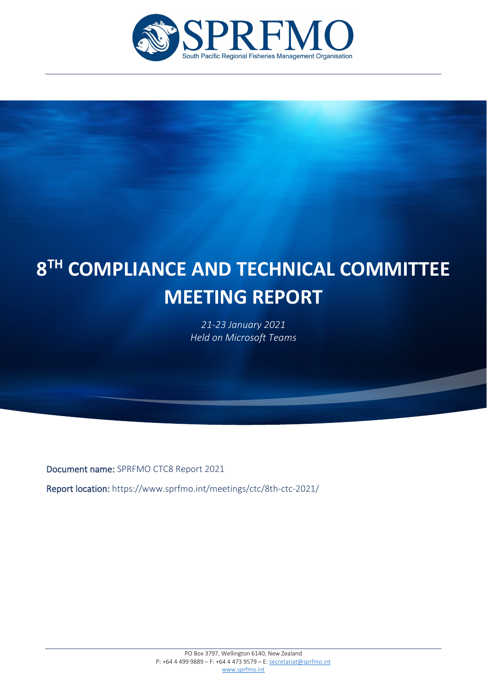

# j **8TH COMPLIANCE AND TECHNICAL COMMITTEE MEETING REPORT**

*21-23 January 2021 Held on Microsoft Teams*

Document name: SPRFMO CTC8 Report 2021

j

Report location: https://www.sprfmo.int/meetings/ctc/8th-ctc-2021/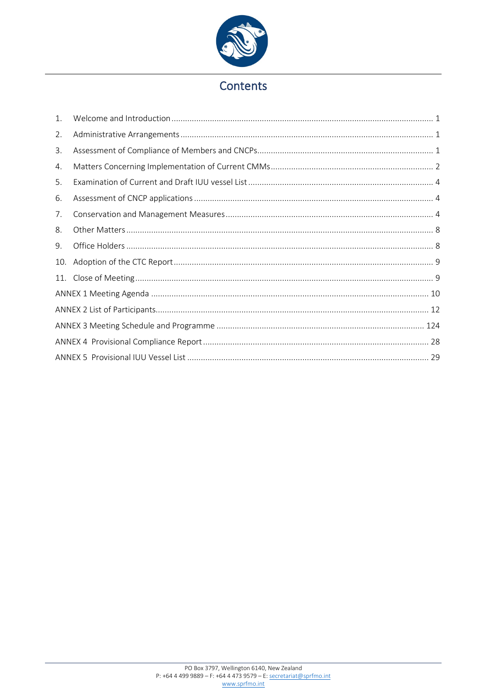

## Contents

| 1.  |  |
|-----|--|
| 2.  |  |
| 3.  |  |
| 4.  |  |
| 5.  |  |
| 6.  |  |
| 7.  |  |
| 8.  |  |
| 9.  |  |
| 10. |  |
| 11. |  |
|     |  |
|     |  |
|     |  |
|     |  |
|     |  |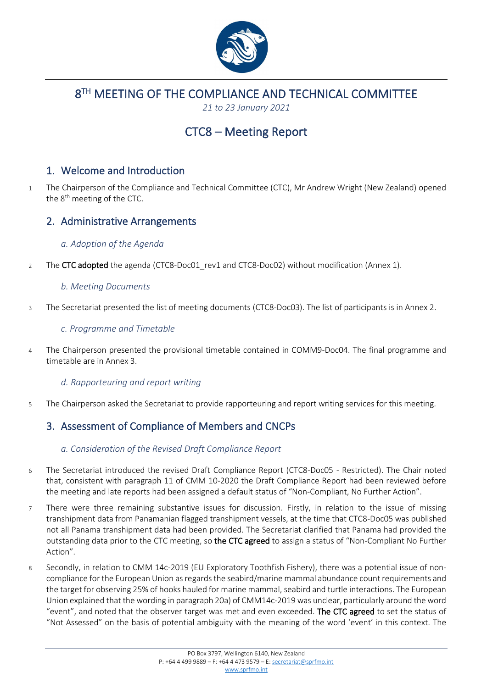

8TH MEETING OF THE COMPLIANCE AND TECHNICAL COMMITTEE

*21 to 23 January 2021*

## CTC8 – Meeting Report

### <span id="page-2-0"></span>1. Welcome and Introduction

1 The Chairperson of the Compliance and Technical Committee (CTC), Mr Andrew Wright (New Zealand) opened the  $8<sup>th</sup>$  meeting of the CTC.

### <span id="page-2-1"></span>2. Administrative Arrangements

#### *a. Adoption of the Agenda*

2 The CTC adopted the agenda (CTC8-Doc01 rev1 and CTC8-Doc02) without modification (Annex 1).

#### *b. Meeting Documents*

3 The Secretariat presented the list of meeting documents (CTC8-Doc03). The list of participants is in Annex 2.

#### *c. Programme and Timetable*

4 The Chairperson presented the provisional timetable contained in COMM9-Doc04. The final programme and timetable are in Annex 3.

#### *d. Rapporteuring and report writing*

5 The Chairperson asked the Secretariat to provide rapporteuring and report writing services for this meeting.

## <span id="page-2-2"></span>3. Assessment of Compliance of Members and CNCPs

#### *a. Consideration of the Revised Draft Compliance Report*

- 6 The Secretariat introduced the revised Draft Compliance Report (CTC8-Doc05 Restricted). The Chair noted that, consistent with paragraph 11 of CMM 10-2020 the Draft Compliance Report had been reviewed before the meeting and late reports had been assigned a default status of "Non-Compliant, No Further Action".
- 7 There were three remaining substantive issues for discussion. Firstly, in relation to the issue of missing transhipment data from Panamanian flagged transhipment vessels, at the time that CTC8-Doc05 was published not all Panama transhipment data had been provided. The Secretariat clarified that Panama had provided the outstanding data prior to the CTC meeting, so the CTC agreed to assign a status of "Non-Compliant No Further Action".
- 8 Secondly, in relation to CMM 14c-2019 (EU Exploratory Toothfish Fishery), there was a potential issue of noncompliance for the European Union as regards the seabird/marine mammal abundance count requirements and the target for observing 25% of hooks hauled for marine mammal, seabird and turtle interactions. The European Union explained that the wording in paragraph 20a) of CMM14c-2019 was unclear, particularly around the word "event", and noted that the observer target was met and even exceeded. The CTC agreed to set the status of "Not Assessed" on the basis of potential ambiguity with the meaning of the word 'event' in this context. The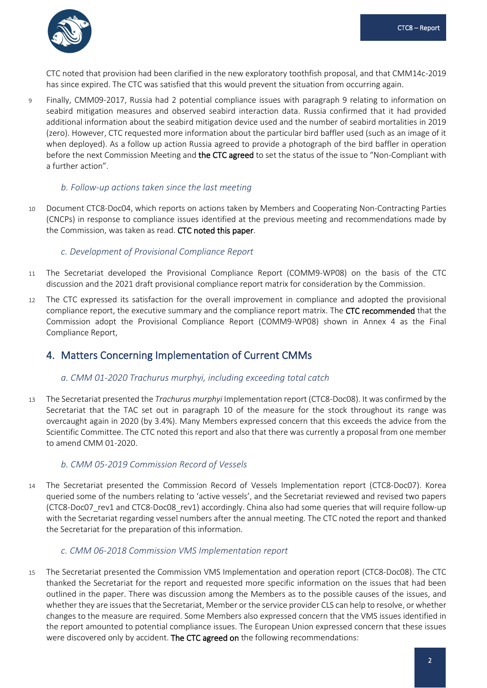

CTC noted that provision had been clarified in the new exploratory toothfish proposal, and that CMM14c-2019 has since expired. The CTC was satisfied that this would prevent the situation from occurring again.

9 Finally, CMM09-2017, Russia had 2 potential compliance issues with paragraph 9 relating to information on seabird mitigation measures and observed seabird interaction data. Russia confirmed that it had provided additional information about the seabird mitigation device used and the number of seabird mortalities in 2019 (zero). However, CTC requested more information about the particular bird baffler used (such as an image of it when deployed). As a follow up action Russia agreed to provide a photograph of the bird baffler in operation before the next Commission Meeting and the CTC agreed to set the status of the issue to "Non-Compliant with a further action".

#### *b. Follow-up actions taken since the last meeting*

10 Document CTC8-Doc04, which reports on actions taken by Members and Cooperating Non-Contracting Parties (CNCPs) in response to compliance issues identified at the previous meeting and recommendations made by the Commission, was taken as read. CTC noted this paper.

#### *c. Development of Provisional Compliance Report*

- 11 The Secretariat developed the Provisional Compliance Report (COMM9-WP08) on the basis of the CTC discussion and the 2021 draft provisional compliance report matrix for consideration by the Commission.
- 12 The CTC expressed its satisfaction for the overall improvement in compliance and adopted the provisional compliance report, the executive summary and the compliance report matrix. The CTC recommended that the Commission adopt the Provisional Compliance Report (COMM9-WP08) shown in Annex 4 as the Final Compliance Report,

### <span id="page-3-0"></span>4. Matters Concerning Implementation of Current CMMs

#### *a. CMM 01-2020 Trachurus murphyi, including exceeding total catch*

13 The Secretariat presented the *Trachurus murphyi* Implementation report (CTC8-Doc08). It was confirmed by the Secretariat that the TAC set out in paragraph 10 of the measure for the stock throughout its range was overcaught again in 2020 (by 3.4%). Many Members expressed concern that this exceeds the advice from the Scientific Committee. The CTC noted this report and also that there was currently a proposal from one member to amend CMM 01-2020.

#### *b. CMM 05-2019 Commission Record of Vessels*

14 The Secretariat presented the Commission Record of Vessels Implementation report (CTC8-Doc07). Korea queried some of the numbers relating to 'active vessels', and the Secretariat reviewed and revised two papers (CTC8-Doc07 rev1 and CTC8-Doc08 rev1) accordingly. China also had some queries that will require follow-up with the Secretariat regarding vessel numbers after the annual meeting. The CTC noted the report and thanked the Secretariat for the preparation of this information.

#### *c. CMM 06-2018 Commission VMS Implementation report*

15 The Secretariat presented the Commission VMS Implementation and operation report (CTC8-Doc08). The CTC thanked the Secretariat for the report and requested more specific information on the issues that had been outlined in the paper. There was discussion among the Members as to the possible causes of the issues, and whether they are issues that the Secretariat, Member or the service provider CLS can help to resolve, or whether changes to the measure are required. Some Members also expressed concern that the VMS issues identified in the report amounted to potential compliance issues. The European Union expressed concern that these issues were discovered only by accident. The CTC agreed on the following recommendations: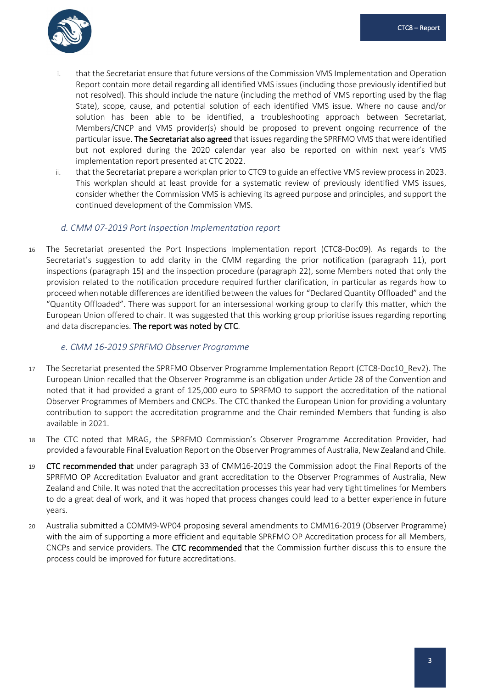

- i. that the Secretariat ensure that future versions of the Commission VMS Implementation and Operation Report contain more detail regarding all identified VMS issues (including those previously identified but not resolved). This should include the nature (including the method of VMS reporting used by the flag State), scope, cause, and potential solution of each identified VMS issue. Where no cause and/or solution has been able to be identified, a troubleshooting approach between Secretariat, Members/CNCP and VMS provider(s) should be proposed to prevent ongoing recurrence of the particular issue. The Secretariat also agreed that issues regarding the SPRFMO VMS that were identified but not explored during the 2020 calendar year also be reported on within next year's VMS implementation report presented at CTC 2022.
- ii. that the Secretariat prepare a workplan prior to CTC9 to guide an effective VMS review process in 2023. This workplan should at least provide for a systematic review of previously identified VMS issues, consider whether the Commission VMS is achieving its agreed purpose and principles, and support the continued development of the Commission VMS.

#### *d. CMM 07-2019 Port Inspection Implementation report*

16 The Secretariat presented the Port Inspections Implementation report (CTC8-Doc09). As regards to the Secretariat's suggestion to add clarity in the CMM regarding the prior notification (paragraph 11), port inspections (paragraph 15) and the inspection procedure (paragraph 22), some Members noted that only the provision related to the notification procedure required further clarification, in particular as regards how to proceed when notable differences are identified between the values for "Declared Quantity Offloaded" and the "Quantity Offloaded". There was support for an intersessional working group to clarify this matter, which the European Union offered to chair. It was suggested that this working group prioritise issues regarding reporting and data discrepancies. The report was noted by CTC.

#### *e. CMM 16-2019 SPRFMO Observer Programme*

- 17 The Secretariat presented the SPRFMO Observer Programme Implementation Report (CTC8-Doc10\_Rev2). The European Union recalled that the Observer Programme is an obligation under Article 28 of the Convention and noted that it had provided a grant of 125,000 euro to SPRFMO to support the accreditation of the national Observer Programmes of Members and CNCPs. The CTC thanked the European Union for providing a voluntary contribution to support the accreditation programme and the Chair reminded Members that funding is also available in 2021.
- 18 The CTC noted that MRAG, the SPRFMO Commission's Observer Programme Accreditation Provider, had provided a favourable Final Evaluation Report on the Observer Programmes of Australia, New Zealand and Chile.
- 19 CTC recommended that under paragraph 33 of CMM16-2019 the Commission adopt the Final Reports of the SPRFMO OP Accreditation Evaluator and grant accreditation to the Observer Programmes of Australia, New Zealand and Chile. It was noted that the accreditation processes this year had very tight timelines for Members to do a great deal of work, and it was hoped that process changes could lead to a better experience in future years.
- 20 Australia submitted a COMM9-WP04 proposing several amendments to CMM16-2019 (Observer Programme) with the aim of supporting a more efficient and equitable SPRFMO OP Accreditation process for all Members, CNCPs and service providers. The CTC recommended that the Commission further discuss this to ensure the process could be improved for future accreditations.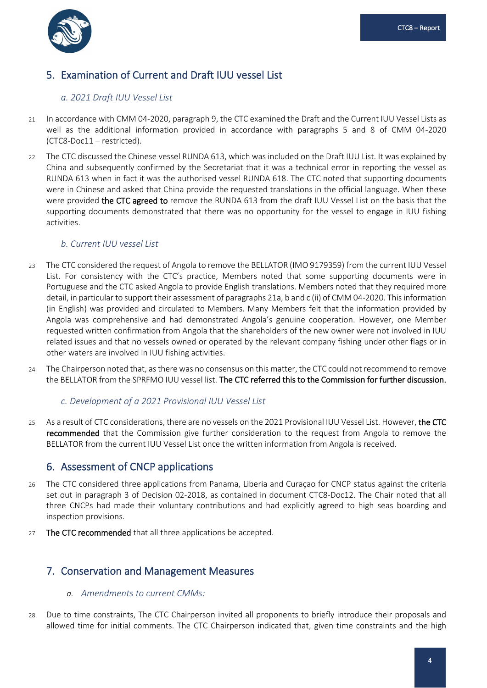

## <span id="page-5-0"></span>5. Examination of Current and Draft IUU vessel List

#### *a. 2021 Draft IUU Vessel List*

- 21 In accordance with CMM 04-2020, paragraph 9, the CTC examined the Draft and the Current IUU Vessel Lists as well as the additional information provided in accordance with paragraphs 5 and 8 of CMM 04-2020 (CTC8-Doc11 – restricted).
- 22 The CTC discussed the Chinese vessel RUNDA 613, which was included on the Draft IUU List. It was explained by China and subsequently confirmed by the Secretariat that it was a technical error in reporting the vessel as RUNDA 613 when in fact it was the authorised vessel RUNDA 618. The CTC noted that supporting documents were in Chinese and asked that China provide the requested translations in the official language. When these were provided the CTC agreed to remove the RUNDA 613 from the draft IUU Vessel List on the basis that the supporting documents demonstrated that there was no opportunity for the vessel to engage in IUU fishing activities.

#### *b. Current IUU vessel List*

- 23 The CTC considered the request of Angola to remove the BELLATOR (IMO 9179359) from the current IUU Vessel List. For consistency with the CTC's practice, Members noted that some supporting documents were in Portuguese and the CTC asked Angola to provide English translations. Members noted that they required more detail, in particular to support their assessment of paragraphs 21a, b and c (ii) of CMM 04-2020. This information (in English) was provided and circulated to Members. Many Members felt that the information provided by Angola was comprehensive and had demonstrated Angola's genuine cooperation. However, one Member requested written confirmation from Angola that the shareholders of the new owner were not involved in IUU related issues and that no vessels owned or operated by the relevant company fishing under other flags or in other waters are involved in IUU fishing activities.
- 24 The Chairperson noted that, as there was no consensus on this matter, the CTC could not recommend to remove the BELLATOR from the SPRFMO IUU vessel list. The CTC referred this to the Commission for further discussion.

#### *c. Development of a 2021 Provisional IUU Vessel List*

25 As a result of CTC considerations, there are no vessels on the 2021 Provisional IUU Vessel List. However, the CTC recommended that the Commission give further consideration to the request from Angola to remove the BELLATOR from the current IUU Vessel List once the written information from Angola is received.

#### <span id="page-5-1"></span>6. Assessment of CNCP applications

- 26 The CTC considered three applications from Panama, Liberia and Curaçao for CNCP status against the criteria set out in paragraph 3 of Decision 02-2018, as contained in document CTC8-Doc12. The Chair noted that all three CNCPs had made their voluntary contributions and had explicitly agreed to high seas boarding and inspection provisions.
- 27 The CTC recommended that all three applications be accepted.

#### <span id="page-5-2"></span>7. Conservation and Management Measures

- *a. Amendments to current CMMs:*
- 28 Due to time constraints, The CTC Chairperson invited all proponents to briefly introduce their proposals and allowed time for initial comments. The CTC Chairperson indicated that, given time constraints and the high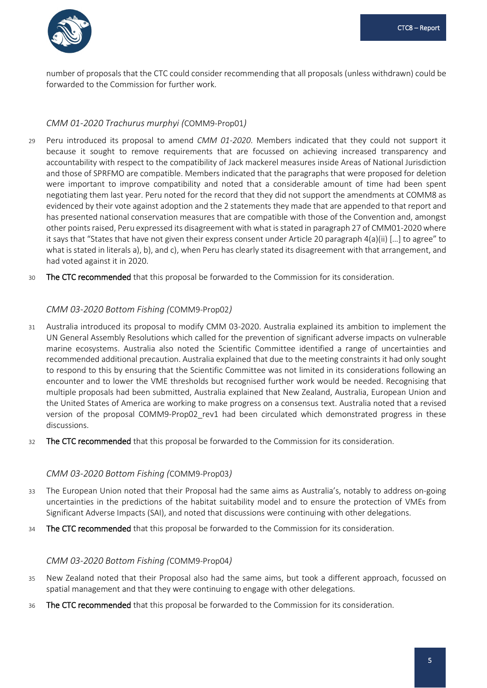

number of proposals that the CTC could consider recommending that all proposals (unless withdrawn) could be forwarded to the Commission for further work.

#### *CMM 01-2020 Trachurus murphyi (*COMM9-Prop01*)*

- 29 Peru introduced its proposal to amend *CMM 01-2020*. Members indicated that they could not support it because it sought to remove requirements that are focussed on achieving increased transparency and accountability with respect to the compatibility of Jack mackerel measures inside Areas of National Jurisdiction and those of SPRFMO are compatible. Members indicated that the paragraphs that were proposed for deletion were important to improve compatibility and noted that a considerable amount of time had been spent negotiating them last year. Peru noted for the record that they did not support the amendments at COMM8 as evidenced by their vote against adoption and the 2 statements they made that are appended to that report and has presented national conservation measures that are compatible with those of the Convention and, amongst other points raised, Peru expressed its disagreement with what is stated in paragraph 27 of CMM01-2020 where it says that "States that have not given their express consent under Article 20 paragraph 4(a)(ii) […] to agree" to what is stated in literals a), b), and c), when Peru has clearly stated its disagreement with that arrangement, and had voted against it in 2020.
- 30 The CTC recommended that this proposal be forwarded to the Commission for its consideration.

#### *CMM 03-2020 Bottom Fishing (*COMM9-Prop02*)*

- 31 Australia introduced its proposal to modify CMM 03-2020. Australia explained its ambition to implement the UN General Assembly Resolutions which called for the prevention of significant adverse impacts on vulnerable marine ecosystems. Australia also noted the Scientific Committee identified a range of uncertainties and recommended additional precaution. Australia explained that due to the meeting constraints it had only sought to respond to this by ensuring that the Scientific Committee was not limited in its considerations following an encounter and to lower the VME thresholds but recognised further work would be needed. Recognising that multiple proposals had been submitted, Australia explained that New Zealand, Australia, European Union and the United States of America are working to make progress on a consensus text. Australia noted that a revised version of the proposal COMM9-Prop02 rev1 had been circulated which demonstrated progress in these discussions.
- 32 The CTC recommended that this proposal be forwarded to the Commission for its consideration.

#### *CMM 03-2020 Bottom Fishing (*COMM9-Prop03*)*

- 33 The European Union noted that their Proposal had the same aims as Australia's, notably to address on-going uncertainties in the predictions of the habitat suitability model and to ensure the protection of VMEs from Significant Adverse Impacts (SAI), and noted that discussions were continuing with other delegations.
- 34 The CTC recommended that this proposal be forwarded to the Commission for its consideration.

#### *CMM 03-2020 Bottom Fishing (*COMM9-Prop04*)*

- 35 New Zealand noted that their Proposal also had the same aims, but took a different approach, focussed on spatial management and that they were continuing to engage with other delegations.
- 36 The CTC recommended that this proposal be forwarded to the Commission for its consideration.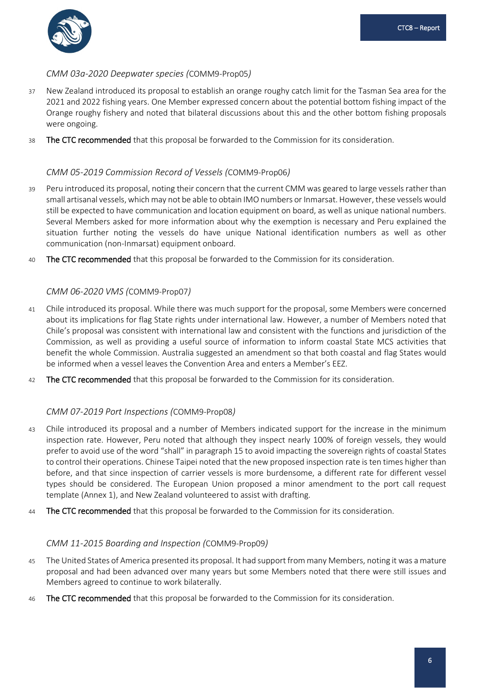

#### *CMM 03a-2020 Deepwater species (*COMM9-Prop05*)*

- 37 New Zealand introduced its proposal to establish an orange roughy catch limit for the Tasman Sea area for the 2021 and 2022 fishing years. One Member expressed concern about the potential bottom fishing impact of the Orange roughy fishery and noted that bilateral discussions about this and the other bottom fishing proposals were ongoing.
- 38 The CTC recommended that this proposal be forwarded to the Commission for its consideration.

#### *CMM 05-2019 Commission Record of Vessels (*COMM9-Prop06*)*

- 39 Peru introduced its proposal, noting their concern that the current CMM was geared to large vessels rather than small artisanal vessels, which may not be able to obtain IMO numbers or Inmarsat. However, these vessels would still be expected to have communication and location equipment on board, as well as unique national numbers. Several Members asked for more information about why the exemption is necessary and Peru explained the situation further noting the vessels do have unique National identification numbers as well as other communication (non-Inmarsat) equipment onboard.
- 40 The CTC recommended that this proposal be forwarded to the Commission for its consideration.

#### *CMM 06-2020 VMS (*COMM9-Prop07*)*

- 41 Chile introduced its proposal. While there was much support for the proposal, some Members were concerned about its implications for flag State rights under international law. However, a number of Members noted that Chile's proposal was consistent with international law and consistent with the functions and jurisdiction of the Commission, as well as providing a useful source of information to inform coastal State MCS activities that benefit the whole Commission. Australia suggested an amendment so that both coastal and flag States would be informed when a vessel leaves the Convention Area and enters a Member's EEZ.
- 42 The CTC recommended that this proposal be forwarded to the Commission for its consideration.

#### *CMM 07-2019 Port Inspections (*COMM9-Prop08*)*

- 43 Chile introduced its proposal and a number of Members indicated support for the increase in the minimum inspection rate. However, Peru noted that although they inspect nearly 100% of foreign vessels, they would prefer to avoid use of the word "shall" in paragraph 15 to avoid impacting the sovereign rights of coastal States to control their operations. Chinese Taipei noted that the new proposed inspection rate is ten times higher than before, and that since inspection of carrier vessels is more burdensome, a different rate for different vessel types should be considered. The European Union proposed a minor amendment to the port call request template (Annex 1), and New Zealand volunteered to assist with drafting.
- 44 The CTC recommended that this proposal be forwarded to the Commission for its consideration.

#### *CMM 11-2015 Boarding and Inspection (*COMM9-Prop09*)*

- 45 The United States of America presented its proposal. It had support from many Members, noting it was a mature proposal and had been advanced over many years but some Members noted that there were still issues and Members agreed to continue to work bilaterally.
- 46 The CTC recommended that this proposal be forwarded to the Commission for its consideration.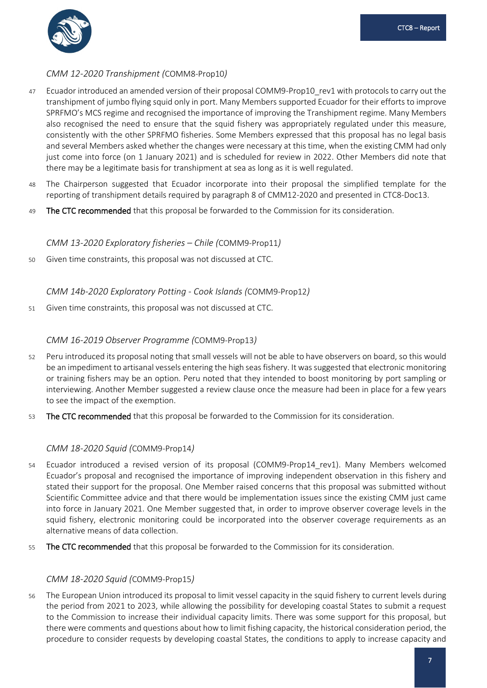

#### *CMM 12-2020 Transhipment (*COMM8-Prop10*)*

- 47 Ecuador introduced an amended version of their proposal COMM9-Prop10\_rev1 with protocols to carry out the transhipment of jumbo flying squid only in port. Many Members supported Ecuador for their efforts to improve SPRFMO's MCS regime and recognised the importance of improving the Transhipment regime. Many Members also recognised the need to ensure that the squid fishery was appropriately regulated under this measure, consistently with the other SPRFMO fisheries. Some Members expressed that this proposal has no legal basis and several Members asked whether the changes were necessary at this time, when the existing CMM had only just come into force (on 1 January 2021) and is scheduled for review in 2022. Other Members did note that there may be a legitimate basis for transhipment at sea as long as it is well regulated.
- 48 The Chairperson suggested that Ecuador incorporate into their proposal the simplified template for the reporting of transhipment details required by paragraph 8 of CMM12-2020 and presented in CTC8-Doc13.
- 49 The CTC recommended that this proposal be forwarded to the Commission for its consideration.

#### *CMM 13-2020 Exploratory fisheries – Chile (*COMM9-Prop11*)*

50 Given time constraints, this proposal was not discussed at CTC.

#### *CMM 14b-2020 Exploratory Potting - Cook Islands (*COMM9-Prop12*)*

51 Given time constraints, this proposal was not discussed at CTC.

#### *CMM 16-2019 Observer Programme (*COMM9-Prop13*)*

- 52 Peru introduced its proposal noting that small vessels will not be able to have observers on board, so this would be an impediment to artisanal vessels entering the high seas fishery. It was suggested that electronic monitoring or training fishers may be an option. Peru noted that they intended to boost monitoring by port sampling or interviewing. Another Member suggested a review clause once the measure had been in place for a few years to see the impact of the exemption.
- 53 The CTC recommended that this proposal be forwarded to the Commission for its consideration.

#### *CMM 18-2020 Squid (*COMM9-Prop14*)*

- 54 Ecuador introduced a revised version of its proposal (COMM9-Prop14\_rev1). Many Members welcomed Ecuador's proposal and recognised the importance of improving independent observation in this fishery and stated their support for the proposal. One Member raised concerns that this proposal was submitted without Scientific Committee advice and that there would be implementation issues since the existing CMM just came into force in January 2021. One Member suggested that, in order to improve observer coverage levels in the squid fishery, electronic monitoring could be incorporated into the observer coverage requirements as an alternative means of data collection.
- 55 The CTC recommended that this proposal be forwarded to the Commission for its consideration.

#### *CMM 18-2020 Squid (*COMM9-Prop15*)*

56 The European Union introduced its proposal to limit vessel capacity in the squid fishery to current levels during the period from 2021 to 2023, while allowing the possibility for developing coastal States to submit a request to the Commission to increase their individual capacity limits. There was some support for this proposal, but there were comments and questions about how to limit fishing capacity, the historical consideration period, the procedure to consider requests by developing coastal States, the conditions to apply to increase capacity and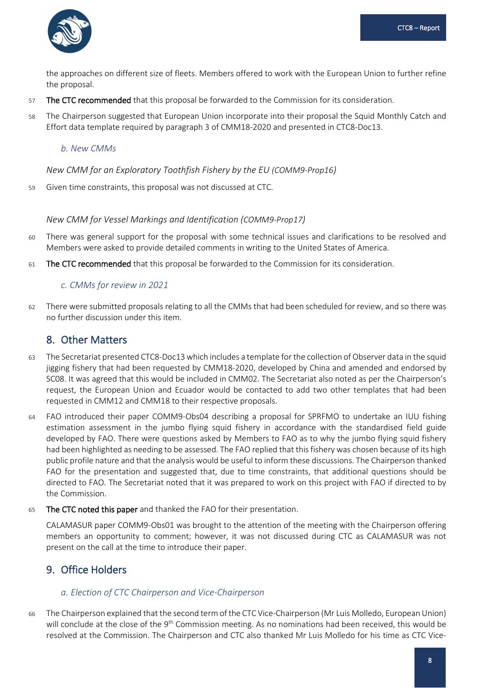

the approaches on different size of fleets. Members offered to work with the European Union to further refine the proposal.

- 57 The CTC recommended that this proposal be forwarded to the Commission for its consideration.
- 58 The Chairperson suggested that European Union incorporate into their proposal the Squid Monthly Catch and Effort data template required by paragraph 3 of CMM18-2020 and presented in CTC8-Doc13.

#### *b. New CMMs*

*New CMM for an Exploratory Toothfish Fishery by the EU (COMM9-Prop16)*

59 Given time constraints, this proposal was not discussed at CTC.

#### *New CMM for Vessel Markings and Identification (COMM9-Prop17)*

- 60 There was general support for the proposal with some technical issues and clarifications to be resolved and Members were asked to provide detailed comments in writing to the United States of America.
- 61 The CTC recommended that this proposal be forwarded to the Commission for its consideration.

#### *c. CMMs for review in 2021*

62 There were submitted proposals relating to all the CMMs that had been scheduled for review, and so there was no further discussion under this item.

#### <span id="page-9-0"></span>8. Other Matters

- 63 The Secretariat presented CTC8-Doc13 which includes a template for the collection of Observer data in the squid jigging fishery that had been requested by CMM18-2020, developed by China and amended and endorsed by SC08. It was agreed that this would be included in CMM02. The Secretariat also noted as per the Chairperson's request, the European Union and Ecuador would be contacted to add two other templates that had been requested in CMM12 and CMM18 to their respective proposals.
- 64 FAO introduced their paper COMM9-Obs04 describing a proposal for SPRFMO to undertake an IUU fishing estimation assessment in the jumbo flying squid fishery in accordance with the standardised field guide developed by FAO. There were questions asked by Members to FAO as to why the jumbo flying squid fishery had been highlighted as needing to be assessed. The FAO replied that this fishery was chosen because of its high public profile nature and that the analysis would be useful to inform these discussions. The Chairperson thanked FAO for the presentation and suggested that, due to time constraints, that additional questions should be directed to FAO. The Secretariat noted that it was prepared to work on this project with FAO if directed to by the Commission.
- 65 The CTC noted this paper and thanked the FAO for their presentation.

CALAMASUR paper COMM9-Obs01 was brought to the attention of the meeting with the Chairperson offering members an opportunity to comment; however, it was not discussed during CTC as CALAMASUR was not present on the call at the time to introduce their paper.

#### <span id="page-9-1"></span>9. Office Holders

#### *a. Election of CTC Chairperson and Vice-Chairperson*

66 The Chairperson explained that the second term of the CTC Vice-Chairperson (Mr Luis Molledo, European Union) will conclude at the close of the 9<sup>th</sup> Commission meeting. As no nominations had been received, this would be resolved at the Commission. The Chairperson and CTC also thanked Mr Luis Molledo for his time as CTC Vice-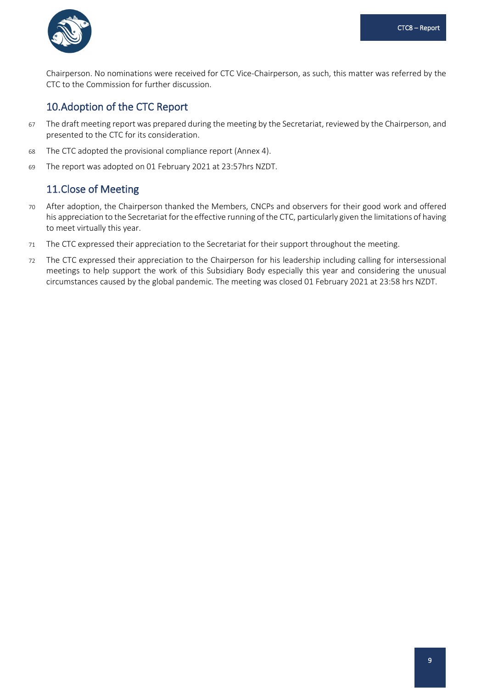

Chairperson. No nominations were received for CTC Vice-Chairperson, as such, this matter was referred by the CTC to the Commission for further discussion.

### <span id="page-10-0"></span>10.Adoption of the CTC Report

- 67 The draft meeting report was prepared during the meeting by the Secretariat, reviewed by the Chairperson, and presented to the CTC for its consideration.
- 68 The CTC adopted the provisional compliance report (Annex 4).
- 69 The report was adopted on 01 February 2021 at 23:57hrs NZDT.

### <span id="page-10-1"></span>11.Close of Meeting

- 70 After adoption, the Chairperson thanked the Members, CNCPs and observers for their good work and offered his appreciation to the Secretariat for the effective running of the CTC, particularly given the limitations of having to meet virtually this year.
- 71 The CTC expressed their appreciation to the Secretariat for their support throughout the meeting.
- 72 The CTC expressed their appreciation to the Chairperson for his leadership including calling for intersessional meetings to help support the work of this Subsidiary Body especially this year and considering the unusual circumstances caused by the global pandemic. The meeting was closed 01 February 2021 at 23:58 hrs NZDT.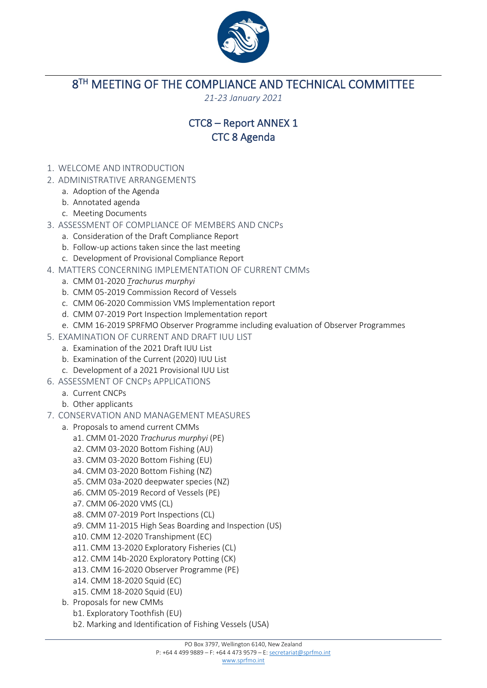

<span id="page-11-0"></span>8<sup>TH</sup> MEETING OF THE COMPLIANCE AND TECHNICAL COMMITTEE

*21-23 January 2021*

## CTC8 – Report ANNEX 1 CTC 8 Agenda

- 1. WELCOME AND INTRODUCTION
- 2. ADMINISTRATIVE ARRANGEMENTS
	- a. Adoption of the Agenda
	- b. Annotated agenda
	- c. Meeting Documents
- 3. ASSESSMENT OF COMPLIANCE OF MEMBERS AND CNCPs
	- a. Consideration of the Draft Compliance Report
	- b. Follow-up actions taken since the last meeting
	- c. Development of Provisional Compliance Report
- 4. MATTERS CONCERNING IMPLEMENTATION OF CURRENT CMMs
	- a. CMM 01-2020 *Trachurus murphyi*
	- b. CMM 05-2019 Commission Record of Vessels
	- c. CMM 06-2020 Commission VMS Implementation report
	- d. CMM 07-2019 Port Inspection Implementation report
	- e. CMM 16-2019 SPRFMO Observer Programme including evaluation of Observer Programmes
- 5. EXAMINATION OF CURRENT AND DRAFT IUU LIST
	- a. Examination of the 2021 Draft IUU List
	- b. Examination of the Current (2020) IUU List
	- c. Development of a 2021 Provisional IUU List
- 6. ASSESSMENT OF CNCPs APPLICATIONS
	- a. Current CNCPs
	- b. Other applicants
- 7. CONSERVATION AND MANAGEMENT MEASURES
	- a. Proposals to amend current CMMs
		- a1. CMM 01-2020 *Trachurus murphyi* (PE)
		- a2. CMM 03-2020 Bottom Fishing (AU)
		- a3. CMM 03-2020 Bottom Fishing (EU)
		- a4. CMM 03-2020 Bottom Fishing (NZ)
		- a5. CMM 03a-2020 deepwater species (NZ)
		- a6. CMM 05-2019 Record of Vessels (PE)
		- a7. CMM 06-2020 VMS (CL)
		- a8. CMM 07-2019 Port Inspections (CL)
		- a9. CMM 11-2015 High Seas Boarding and Inspection (US)
		- a10. CMM 12-2020 Transhipment (EC)
		- a11. CMM 13-2020 Exploratory Fisheries (CL)
		- a12. CMM 14b-2020 Exploratory Potting (CK)
		- a13. CMM 16-2020 Observer Programme (PE)
		- a14. CMM 18-2020 Squid (EC)
		- a15. CMM 18-2020 Squid (EU)
	- b. Proposals for new CMMs b1. Exploratory Toothfish (EU)
		- b2. Marking and Identification of Fishing Vessels (USA)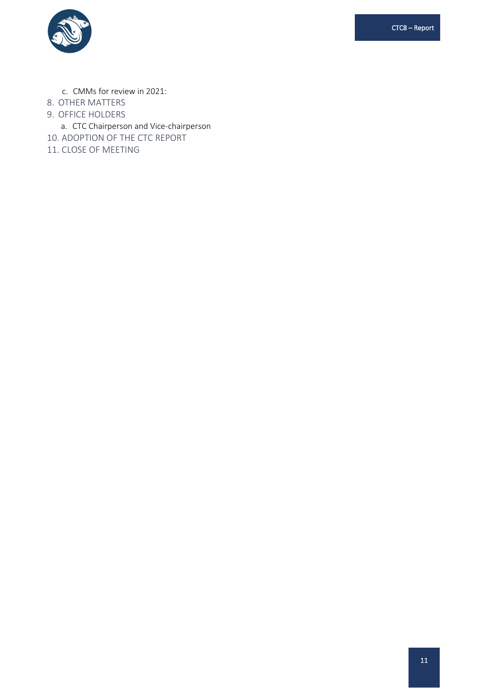CTC8 – Report



- c. CMMs for review in 2021:
- 8. OTHER MATTERS
- 9. OFFICE HOLDERS
- a. CTC Chairperson and Vice-chairperson
- 10. ADOPTION OF THE CTC REPORT
- 11. CLOSE OF MEETING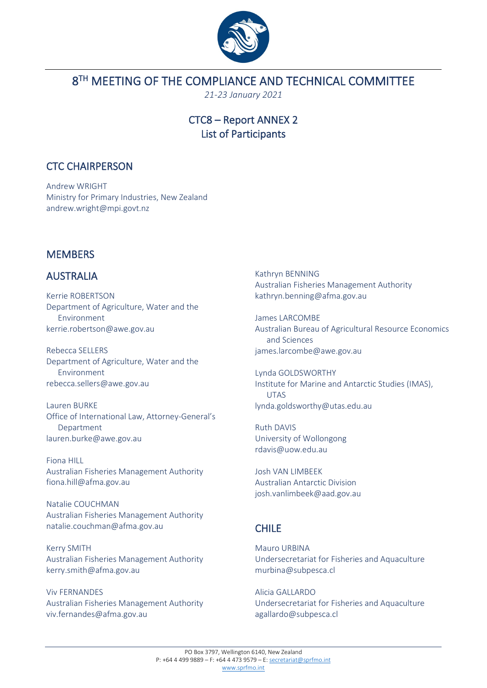

## <span id="page-13-0"></span>8<sup>TH</sup> MEETING OF THE COMPLIANCE AND TECHNICAL COMMITTEE

*21-23 January 2021*

### CTC8 – Report ANNEX 2 List of Participants

### CTC CHAIRPERSON

Andrew WRIGHT Ministry for Primary Industries, New Zealand andrew.wright@mpi.govt.nz

## **MEMBERS**

## AUSTRALIA

Kerrie ROBERTSON Department of Agriculture, Water and the Environment kerrie.robertson@awe.gov.au

Rebecca SELLERS Department of Agriculture, Water and the Environment rebecca.sellers@awe.gov.au

Lauren BURKE Office of International Law, Attorney-General's Department lauren.burke@awe.gov.au

Fiona HILL Australian Fisheries Management Authority fiona.hill@afma.gov.au

Natalie COUCHMAN Australian Fisheries Management Authority natalie.couchman@afma.gov.au

Kerry SMITH Australian Fisheries Management Authority kerry.smith@afma.gov.au

Viv FERNANDES Australian Fisheries Management Authority viv.fernandes@afma.gov.au

Kathryn BENNING Australian Fisheries Management Authority kathryn.benning@afma.gov.au

James LARCOMBE Australian Bureau of Agricultural Resource Economics and Sciences james.larcombe@awe.gov.au

Lynda GOLDSWORTHY Institute for Marine and Antarctic Studies (IMAS), UTAS lynda.goldsworthy@utas.edu.au

Ruth DAVIS University of Wollongong rdavis@uow.edu.au

Josh VAN LIMBEEK Australian Antarctic Division josh.vanlimbeek@aad.gov.au

## CHILE

Mauro URBINA Undersecretariat for Fisheries and Aquaculture murbina@subpesca.cl

Alicia GALLARDO Undersecretariat for Fisheries and Aquaculture agallardo@subpesca.cl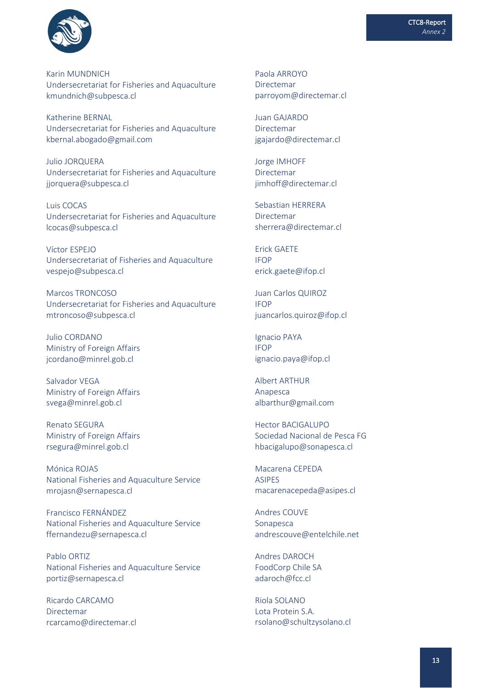

Karin MUNDNICH Undersecretariat for Fisheries and Aquaculture kmundnich@subpesca.cl

Katherine BERNAL Undersecretariat for Fisheries and Aquaculture kbernal.abogado@gmail.com

Julio JORQUERA Undersecretariat for Fisheries and Aquaculture jjorquera@subpesca.cl

Luis COCAS Undersecretariat for Fisheries and Aquaculture [lcocas@subpesca.cl](mailto:lcocas@subpesca.cl)

Víctor ESPEJO Undersecretariat of Fisheries and Aquaculture vespejo@subpesca.cl

Marcos TRONCOSO Undersecretariat for Fisheries and Aquaculture mtroncoso@subpesca.cl

Julio CORDANO Ministry of Foreign Affairs jcordano@minrel.gob.cl

Salvador VEGA Ministry of Foreign Affairs svega@minrel.gob.cl

Renato SEGURA Ministry of Foreign Affairs rsegura@minrel.gob.cl

Mónica ROJAS National Fisheries and Aquaculture Service mrojasn@sernapesca.cl

Francisco FERNÁNDEZ National Fisheries and Aquaculture Service ffernandezu@sernapesca.cl

Pablo ORTIZ National Fisheries and Aquaculture Service portiz@sernapesca.cl

Ricardo CARCAMO Directemar rcarcamo@directemar.cl Paola ARROYO Directemar parroyom@directemar.cl

Juan GAJARDO Directemar jgajardo@directemar.cl

Jorge IMHOFF Directemar jimhoff@directemar.cl

Sebastian HERRERA Directemar [sherrera@directemar.cl](mailto:sherrera@directemar.cl)

Erick GAETE IFOP erick.gaete@ifop.cl

Juan Carlos QUIROZ IFOP juancarlos.quiroz@ifop.cl

Ignacio PAYA IFOP ignacio.paya@ifop.cl

Albert ARTHUR Anapesca albarthur@gmail.com

Hector BACIGALUPO Sociedad Nacional de Pesca FG hbacigalupo@sonapesca.cl

Macarena CEPEDA ASIPES macarenacepeda@asipes.cl

Andres COUVE Sonapesca andrescouve@entelchile.net

Andres DAROCH FoodCorp Chile SA adaroch@fcc.cl

Riola SOLANO Lota Protein S.A. rsolano@schultzysolano.cl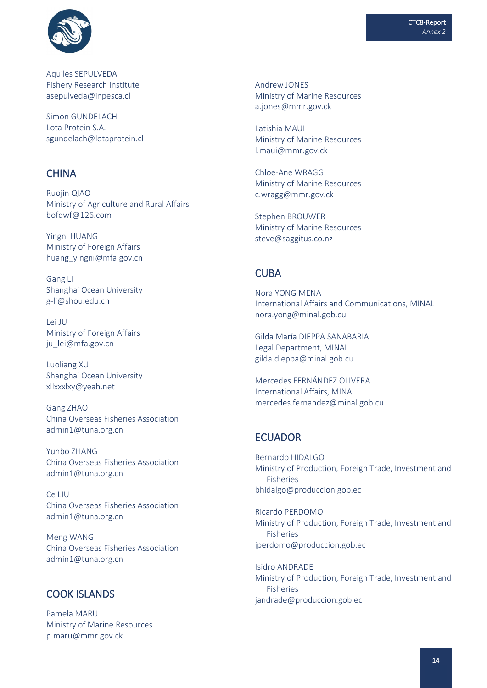

Aquiles SEPULVEDA Fishery Research Institute asepulveda@inpesca.cl

Simon GUNDELACH Lota Protein S.A. sgundelach@lotaprotein.cl

### **CHINA**

Ruojin QIAO Ministry of Agriculture and Rural Affairs bofdwf@126.com

Yingni HUANG Ministry of Foreign Affairs huang\_yingni@mfa.gov.cn

Gang LI Shanghai Ocean University g-li@shou.edu.cn

Lei JU Ministry of Foreign Affairs ju\_lei@mfa.gov.cn

Luoliang XU Shanghai Ocean University xllxxxlxy@yeah.net

Gang ZHAO China Overseas Fisheries Association admin1@tuna.org.cn

Yunbo ZHANG China Overseas Fisheries Association admin1@tuna.org.cn

Ce LIU China Overseas Fisheries Association admin1@tuna.org.cn

Meng WANG China Overseas Fisheries Association admin1@tuna.org.cn

### COOK ISLANDS

Pamela MARU Ministry of Marine Resources p.maru@mmr.gov.ck

Andrew JONES Ministry of Marine Resources a.jones@mmr.gov.ck

Latishia MAUI Ministry of Marine Resources l.maui@mmr.gov.ck

Chloe-Ane WRAGG Ministry of Marine Resources c.wragg@mmr.gov.ck

Stephen BROUWER Ministry of Marine Resources steve@saggitus.co.nz

### **CUBA**

Nora YONG MENA International Affairs and Communications, MINAL nora.yong@minal.gob.cu

Gilda María DIEPPA SANABARIA Legal Department, MINAL gilda.dieppa@minal.gob.cu

Mercedes FERNÁNDEZ OLIVERA International Affairs, MINAL mercedes.fernandez@minal.gob.cu

### ECUADOR

Bernardo HIDALGO Ministry of Production, Foreign Trade, Investment and Fisheries bhidalgo@produccion.gob.ec

Ricardo PERDOMO Ministry of Production, Foreign Trade, Investment and Fisheries [jperdomo@produccion.gob.ec](mailto:jperdomo@produccion.gob.ec)

Isidro ANDRADE Ministry of Production, Foreign Trade, Investment and Fisheries jandrade@produccion.gob.ec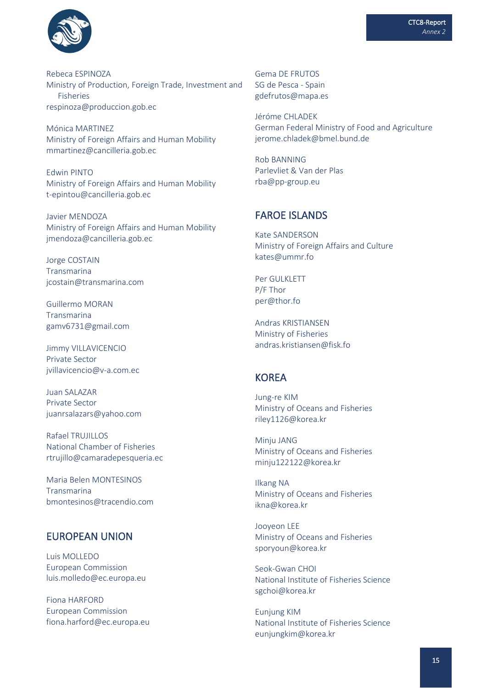

Rebeca ESPINOZA Ministry of Production, Foreign Trade, Investment and Fisheries respinoza@produccion.gob.ec

Mónica MARTINEZ Ministry of Foreign Affairs and Human Mobility mmartinez@cancilleria.gob.ec

Edwin PINTO Ministry of Foreign Affairs and Human Mobility t-epintou@cancilleria.gob.ec

Javier MENDOZA Ministry of Foreign Affairs and Human Mobility jmendoza@cancilleria.gob.ec

Jorge COSTAIN Transmarina jcostain@transmarina.com

Guillermo MORAN Transmarina gamv6731@gmail.com

Jimmy VILLAVICENCIO Private Sector jvillavicencio@v-a.com.ec

Juan SALAZAR Private Sector juanrsalazars@yahoo.com

Rafael TRUJILLOS National Chamber of Fisheries rtrujillo@camaradepesqueria.ec

Maria Belen MONTESINOS Transmarina bmontesinos@tracendio.com

### EUROPEAN UNION

Luis MOLLEDO European Commission luis.molledo@ec.europa.eu

Fiona HARFORD European Commission fiona.harford@ec.europa.eu Gema DE FRUTOS SG de Pesca - Spain gdefrutos@mapa.es

Jéróme CHLADEK German Federal Ministry of Food and Agriculture jerome.chladek@bmel.bund.de

Rob BANNING Parlevliet & Van der Plas rba@pp-group.eu

### FAROE ISLANDS

Kate SANDERSON Ministry of Foreign Affairs and Culture kates@ummr.fo

Per GULKLETT P/F Thor per@thor.fo

Andras KRISTIANSEN Ministry of Fisheries andras.kristiansen@fisk.fo

#### KOREA

Jung-re KIM Ministry of Oceans and Fisheries riley1126@korea.kr

Minju JANG Ministry of Oceans and Fisheries minju122122@korea.kr

Ilkang NA Ministry of Oceans and Fisheries ikna@korea.kr

Jooyeon LEE Ministry of Oceans and Fisheries sporyoun@korea.kr

Seok-Gwan CHOI National Institute of Fisheries Science sgchoi@korea.kr

Eunjung KIM National Institute of Fisheries Science eunjungkim@korea.kr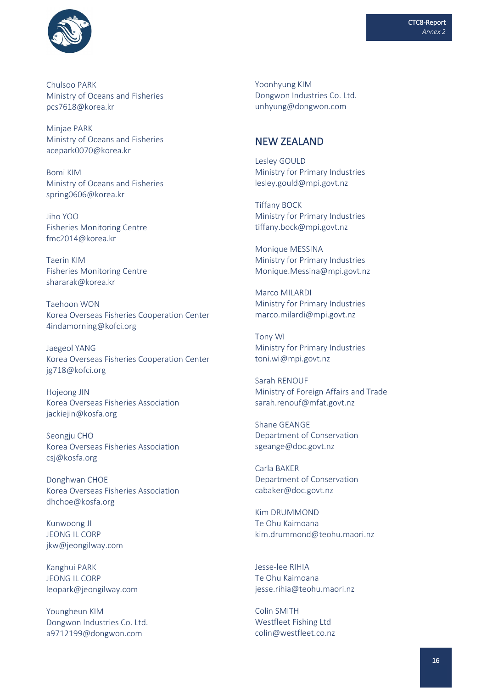



Chulsoo PARK Ministry of Oceans and Fisheries pcs7618@korea.kr

Minjae PARK Ministry of Oceans and Fisheries acepark0070@korea.kr

Bomi KIM Ministry of Oceans and Fisheries spring0606@korea.kr

Jiho YOO Fisheries Monitoring Centre fmc2014@korea.kr

Taerin KIM Fisheries Monitoring Centre shararak@korea.kr

Taehoon WON Korea Overseas Fisheries Cooperation Center 4indamorning@kofci.org

Jaegeol YANG Korea Overseas Fisheries Cooperation Center jg718@kofci.org

Hojeong JIN Korea Overseas Fisheries Association jackiejin@kosfa.org

Seongiu CHO Korea Overseas Fisheries Association csj@kosfa.org

Donghwan CHOE Korea Overseas Fisheries Association dhchoe@kosfa.org

Kunwoong JI JEONG IL CORP jkw@jeongilway.com

Kanghui PARK JEONG IL CORP leopark@jeongilway.com

Youngheun KIM Dongwon Industries Co. Ltd. a9712199@dongwon.com

Yoonhyung KIM Dongwon Industries Co. Ltd. unhyung@dongwon.com

### NEW ZEALAND

Lesley GOULD Ministry for Primary Industries lesley.gould@mpi.govt.nz

Tiffany BOCK Ministry for Primary Industries tiffany.bock@mpi.govt.nz

Monique MESSINA Ministry for Primary Industries Monique.Messina@mpi.govt.nz

Marco MILARDI Ministry for Primary Industries marco.milardi@mpi.govt.nz

Tony WI Ministry for Primary Industries toni.wi@mpi.govt.nz

Sarah RENOUF Ministry of Foreign Affairs and Trade sarah.renouf@mfat.govt.nz

Shane GEANGE Department of Conservation sgeange@doc.govt.nz

Carla BAKER Department of Conservation cabaker@doc.govt.nz

Kim DRUMMOND Te Ohu Kaimoana kim.drummond@teohu.maori.nz

Jesse-lee RIHIA Te Ohu Kaimoana jesse.rihia@teohu.maori.nz

Colin SMITH Westfleet Fishing Ltd colin@westfleet.co.nz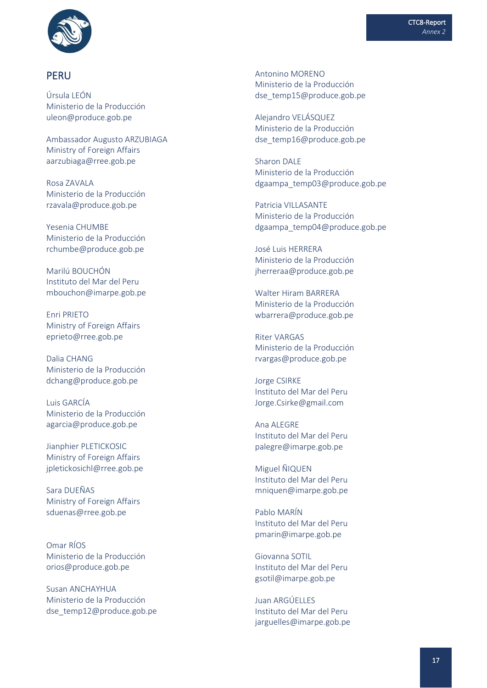

#### PERU

Úrsula LEÓN Ministerio de la Producción uleon@produce.gob.pe

Ambassador Augusto ARZUBIAGA Ministry of Foreign Affairs [aarzubiaga@rree.gob.pe](mailto:aarzubiaga@rree.gob.pe)

Rosa ZAVALA Ministerio de la Producción rzavala@produce.gob.pe

Yesenia CHUMBE Ministerio de la Producción rchumbe@produce.gob.pe

Marilú BOUCHÓN Instituto del Mar del Peru mbouchon@imarpe.gob.pe

Enri PRIETO Ministry of Foreign Affairs eprieto@rree.gob.pe

Dalia CHANG Ministerio de la Producción dchang@produce.gob.pe

Luis GARCÍA Ministerio de la Producción agarcia@produce.gob.pe

Jianphier PLETICKOSIC Ministry of Foreign Affairs jpletickosichl@rree.gob.pe

Sara DUEÑAS Ministry of Foreign Affairs sduenas@rree.gob.pe

Omar RÍOS Ministerio de la Producción orios@produce.gob.pe

Susan ANCHAYHUA Ministerio de la Producción dse\_temp12@produce.gob.pe Antonino MORENO Ministerio de la Producción dse\_temp15@produce.gob.pe

Alejandro VELÁSQUEZ Ministerio de la Producción dse\_temp16@produce.gob.pe

Sharon DALE Ministerio de la Producción dgaampa\_temp03@produce.gob.pe

Patricia VILLASANTE Ministerio de la Producción dgaampa\_temp04@produce.gob.pe

José Luis HERRERA Ministerio de la Producción jherreraa@produce.gob.pe

Walter Hiram BARRERA Ministerio de la Producción wbarrera@produce.gob.pe

Riter VARGAS Ministerio de la Producción rvargas@produce.gob.pe

Jorge CSIRKE Instituto del Mar del Peru Jorge.Csirke@gmail.com

Ana ALEGRE Instituto del Mar del Peru palegre@imarpe.gob.pe

Miguel ÑIQUEN Instituto del Mar del Peru mniquen@imarpe.gob.pe

Pablo MARÍN Instituto del Mar del Peru pmarin@imarpe.gob.pe

Giovanna SOTIL Instituto del Mar del Peru gsotil@imarpe.gob.pe

Juan ARGÚELLES Instituto del Mar del Peru jarguelles@imarpe.gob.pe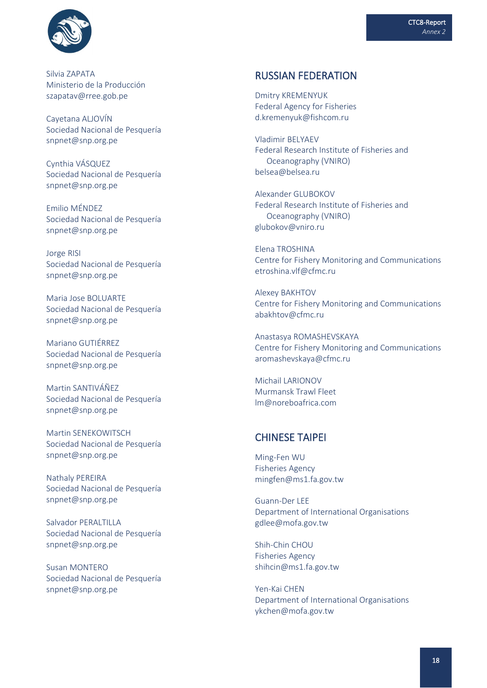

Silvia ZAPATA Ministerio de la Producción szapatav@rree.gob.pe

Cayetana ALJOVÍN Sociedad Nacional de Pesquería snpnet@snp.org.pe

Cynthia VÁSQUEZ Sociedad Nacional de Pesquería snpnet@snp.org.pe

Emilio MÉNDEZ Sociedad Nacional de Pesquería snpnet@snp.org.pe

Jorge RISI Sociedad Nacional de Pesquería snpnet@snp.org.pe

Maria Jose BOLUARTE Sociedad Nacional de Pesquería snpnet@snp.org.pe

Mariano GUTIÉRREZ Sociedad Nacional de Pesquería snpnet@snp.org.pe

Martin SANTIVÁÑEZ Sociedad Nacional de Pesquería snpnet@snp.org.pe

Martin SENEKOWITSCH Sociedad Nacional de Pesquería snpnet@snp.org.pe

Nathaly PEREIRA Sociedad Nacional de Pesquería snpnet@snp.org.pe

Salvador PERALTILLA Sociedad Nacional de Pesquería snpnet@snp.org.pe

Susan MONTERO Sociedad Nacional de Pesquería snpnet@snp.org.pe

#### RUSSIAN FEDERATION

Dmitry KREMENYUK Federal Agency for Fisheries d.kremenyuk@fishcom.ru

Vladimir BELYAEV Federal Research Institute of Fisheries and Oceanography (VNIRO) belsea@belsea.ru

Alexander GLUBOKOV Federal Research Institute of Fisheries and Oceanography (VNIRO) glubokov@vniro.ru

Elena TROSHINA Centre for Fishery Monitoring and Communications etroshina.vlf@cfmc.ru

Alexey BAKHTOV Centre for Fishery Monitoring and Communications abakhtov@cfmc.ru

Anastasya ROMASHEVSKAYA Centre for Fishery Monitoring and Communications aromashevskaya@cfmc.ru

Michail LARIONOV Murmansk Trawl Fleet lm@noreboafrica.com

### CHINESE TAIPEI

Ming-Fen WU Fisheries Agency mingfen@ms1.fa.gov.tw

Guann-Der LEE Department of International Organisations gdlee@mofa.gov.tw

Shih-Chin CHOU Fisheries Agency shihcin@ms1.fa.gov.tw

Yen-Kai CHEN Department of International Organisations ykchen@mofa.gov.tw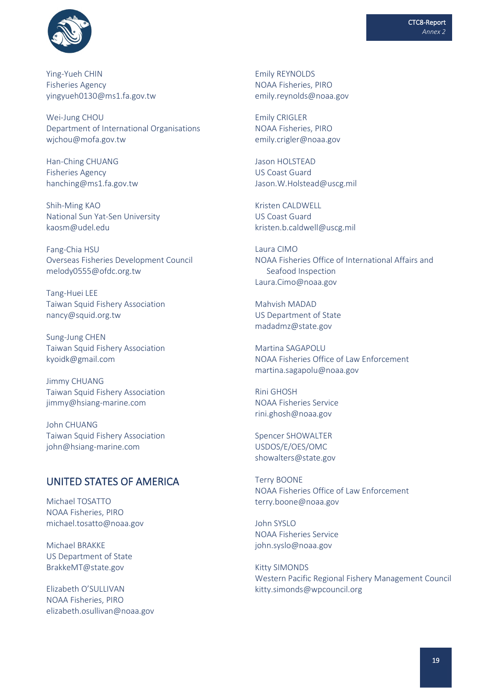

Ying-Yueh CHIN Fisheries Agency yingyueh0130@ms1.fa.gov.tw

Wei-Jung CHOU Department of International Organisations wjchou@mofa.gov.tw

Han-Ching CHUANG Fisheries Agency [hanching@ms1.fa.gov.tw](mailto:hanching@ms1.fa.gov.tw)

Shih-Ming KAO National Sun Yat-Sen University kaosm@udel.edu

Fang-Chia HSU Overseas Fisheries Development Council melody0555@ofdc.org.tw

Tang-Huei LEE Taiwan Squid Fishery Association nancy@squid.org.tw

Sung-Jung CHEN Taiwan Squid Fishery Association kyoidk@gmail.com

Jimmy CHUANG Taiwan Squid Fishery Association jimmy@hsiang-marine.com

John CHUANG Taiwan Squid Fishery Association john@hsiang-marine.com

### UNITED STATES OF AMERICA

Michael TOSATTO NOAA Fisheries, PIRO michael.tosatto@noaa.gov

Michael BRAKKE US Department of State BrakkeMT@state.gov

Elizabeth O'SULLIVAN NOAA Fisheries, PIRO elizabeth.osullivan@noaa.gov Emily REYNOLDS NOAA Fisheries, PIRO emily.reynolds@noaa.gov

Emily CRIGLER NOAA Fisheries, PIRO emily.crigler@noaa.gov

Jason HOLSTEAD US Coast Guard Jason.W.Holstead@uscg.mil

Kristen CALDWELL US Coast Guard kristen.b.caldwell@uscg.mil

Laura CIMO NOAA Fisheries Office of International Affairs and Seafood Inspection Laura.Cimo@noaa.gov

Mahvish MADAD US Department of State madadmz@state.gov

Martina SAGAPOLU NOAA Fisheries Office of Law Enforcement martina.sagapolu@noaa.gov

Rini GHOSH NOAA Fisheries Service rini.ghosh@noaa.gov

Spencer SHOWALTER USDOS/E/OES/OMC showalters@state.gov

Terry BOONE NOAA Fisheries Office of Law Enforcement terry.boone@noaa.gov

John SYSLO NOAA Fisheries Service john.syslo@noaa.gov

Kitty SIMONDS Western Pacific Regional Fishery Management Council kitty.simonds@wpcouncil.org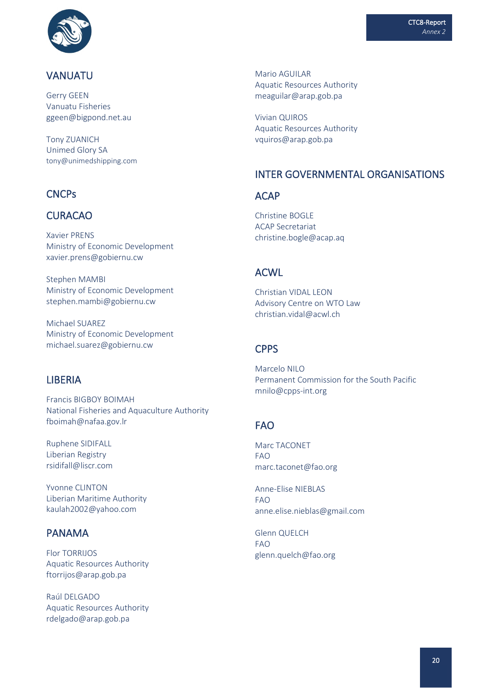

### VANUATU

Gerry GEEN Vanuatu Fisheries ggeen@bigpond.net.au

Tony ZUANICH Unimed Glory SA tony@unimedshipping.com

### **CNCPs**

### CURACAO

Xavier PRENS Ministry of Economic Development xavier.prens@gobiernu.cw

Stephen MAMBI Ministry of Economic Development stephen.mambi@gobiernu.cw

Michael SUAREZ Ministry of Economic Development michael.suarez@gobiernu.cw

### **LIBERIA**

Francis BIGBOY BOIMAH National Fisheries and Aquaculture Authority fboimah@nafaa.gov.lr

Ruphene SIDIFALL Liberian Registry [rsidifall@liscr.com](mailto:rsidifall@liscr.com)

Yvonne CLINTON Liberian Maritime Authority kaulah2002@yahoo.com

### PANAMA

Flor TORRIJOS Aquatic Resources Authority ftorrijos@arap.gob.pa

Raúl DELGADO Aquatic Resources Authority rdelgado@arap.gob.pa

Mario AGUILAR Aquatic Resources Authority [meaguilar@arap.gob.pa](mailto:meaguilar@arap.gob.pa)

Vivian QUIROS Aquatic Resources Authority vquiros@arap.gob.pa

### INTER GOVERNMENTAL ORGANISATIONS

### **ACAP**

Christine BOGLE ACAP Secretariat christine.bogle@acap.aq

### ACWL

Christian VIDAL LEON Advisory Centre on WTO Law christian.vidal@acwl.ch

### **CPPS**

Marcelo NILO Permanent Commission for the South Pacific mnilo@cpps-int.org

## FAO

Marc TACONET FAO marc.taconet@fao.org

Anne-Elise NIEBLAS FAO anne.elise.nieblas@gmail.com

Glenn QUELCH FAO glenn.quelch@fao.org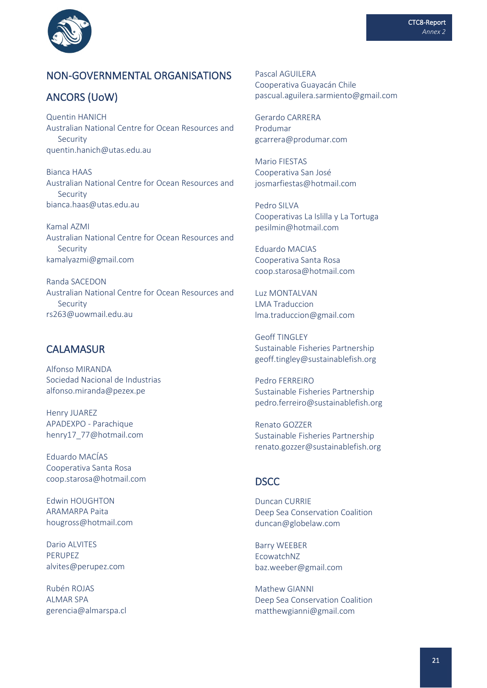

### NON-GOVERNMENTAL ORGANISATIONS

### ANCORS (UoW)

Quentin HANICH Australian National Centre for Ocean Resources and Security quentin.hanich@utas.edu.au

Bianca HAAS Australian National Centre for Ocean Resources and Security bianca.haas@utas.edu.au

Kamal AZMI Australian National Centre for Ocean Resources and Security kamalyazmi@gmail.com

Randa SACEDON Australian National Centre for Ocean Resources and Security rs263@uowmail.edu.au

### **CALAMASUR**

Alfonso MIRANDA Sociedad Nacional de Industrias alfonso.miranda@pezex.pe

Henry JUAREZ APADEXPO - Parachique henry17\_77@hotmail.com

Eduardo MACÍAS Cooperativa Santa Rosa coop.starosa@hotmail.com

Edwin HOUGHTON ARAMARPA Paita hougross@hotmail.com

Dario ALVITES PERUPEZ alvites@perupez.com

Rubén ROJAS ALMAR SPA gerencia@almarspa.cl Pascal AGUILERA Cooperativa Guayacán Chile pascual.aguilera.sarmiento@gmail.com

Gerardo CARRERA Produmar gcarrera@produmar.com

Mario FIESTAS Cooperativa San José josmarfiestas@hotmail.com

Pedro SILVA Cooperativas La Islilla y La Tortuga pesilmin@hotmail.com

Eduardo MACIAS Cooperativa Santa Rosa coop.starosa@hotmail.com

Luz MONTALVAN LMA Traduccion lma.traduccion@gmail.com

Geoff TINGLEY Sustainable Fisheries Partnership geoff.tingley@sustainablefish.org

Pedro FERREIRO Sustainable Fisheries Partnership pedro.ferreiro@sustainablefish.org

Renato GOZZER Sustainable Fisheries Partnership renato.gozzer@sustainablefish.org

### DSCC

Duncan CURRIE Deep Sea Conservation Coalition duncan@globelaw.com

Barry WEEBER EcowatchNZ baz.weeber@gmail.com

Mathew GIANNI Deep Sea Conservation Coalition matthewgianni@gmail.com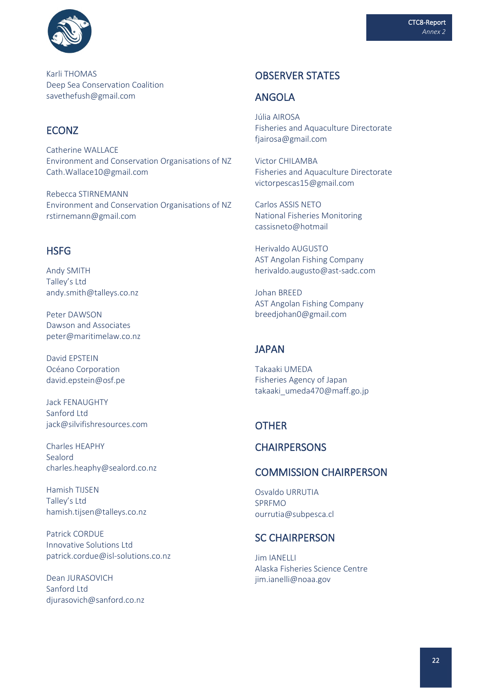

Karli THOMAS Deep Sea Conservation Coalition savethefush@gmail.com

### ECONZ

Catherine WALLACE Environment and Conservation Organisations of NZ Cath.Wallace10@gmail.com

Rebecca STIRNEMANN Environment and Conservation Organisations of NZ rstirnemann@gmail.com

### **HSFG**

Andy SMITH Talley's Ltd andy.smith@talleys.co.nz

Peter DAWSON Dawson and Associates peter@maritimelaw.co.nz

David EPSTEIN Océano Corporation david.epstein@osf.pe

Jack FENAUGHTY Sanford Ltd jack@silvifishresources.com

Charles HEAPHY Sealord [charles.heaphy@sealord.co.nz](mailto:djurasovich@sanford.co.nz)

Hamish TIJSEN Talley's Ltd [hamish.tijsen@talleys.co.nz](mailto:djurasovich@sanford.co.nz)

Patrick CORDUE Innovative Solutions Ltd patrick.cordue@isl-solutions.co.nz

Dean JURASOVICH Sanford Ltd [djurasovich@sanford.co.nz](mailto:djurasovich@sanford.co.nz)

### OBSERVER STATES

### ANGOLA

Júlia AIROSA Fisheries and Aquaculture Directorate fjairosa@gmail.com

Victor CHILAMBA Fisheries and Aquaculture Directorate victorpescas15@gmail.com

Carlos ASSIS NETO National Fisheries Monitoring cassisneto@hotmail

Herivaldo AUGUSTO AST Angolan Fishing Company herivaldo.augusto@ast-sadc.com

Johan BREED AST Angolan Fishing Company breedjohan0@gmail.com

### JAPAN

Takaaki UMEDA Fisheries Agency of Japan takaaki\_umeda470@maff.go.jp

### **OTHER**

### **CHAIRPERSONS**

### COMMISSION CHAIRPERSON

Osvaldo URRUTIA SPRFMO ourrutia@subpesca.cl

#### SC CHAIRPERSON

Jim IANELLI Alaska Fisheries Science Centre jim.ianelli@noaa.gov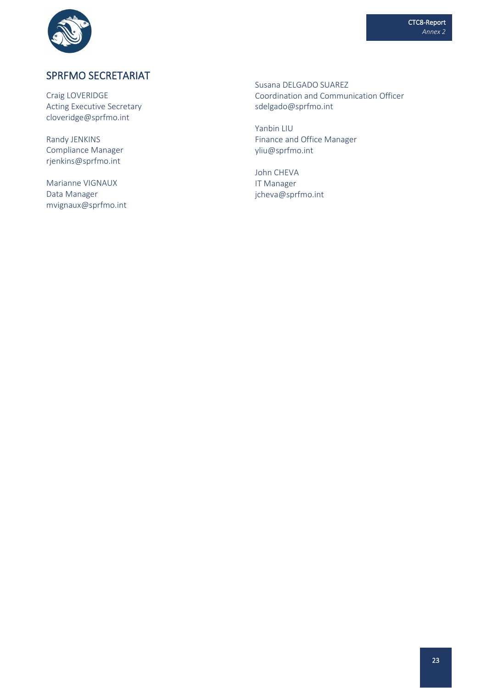



## SPRFMO SECRETARIAT

Craig LOVERIDGE Acting Executive Secretary cloveridge@sprfmo.int

Randy JENKINS Compliance Manager rjenkins@sprfmo.int

Marianne VIGNAUX Data Manager mvignaux@sprfmo.int Susana DELGADO SUAREZ Coordination and Communication Officer sdelgado@sprfmo.int

Yanbin LIU Finance and Office Manager [yliu@sprfmo.int](mailto:yliu@sprfmo.int)

John CHEVA IT Manager [jcheva@sprfmo.int](mailto:jcheva@sprfmo.int)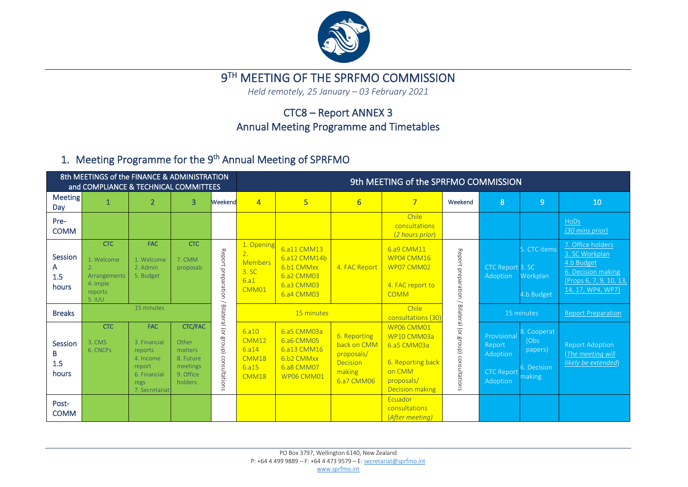

## 9TH MEETING OF THE SPRFMO COMMISSION

*Held remotely, 25 January – 03 February 2021* 

## CTC8 – Report ANNEX 3 Annual Meeting Programme and Timetables

## 1. Meeting Programme for the 9<sup>th</sup> Annual Meeting of SPRFMO

|                                     | 8th MEETINGS of the FINANCE & ADMINISTRATION<br>and COMPLIANCE & TECHNICAL COMMITTEES |                                                                                                        |                                                                                     |                      | 9th MEETING of the SPRFMO COMMISSION                                       |                                                                                     |                                                                               |                                                                                                                 |                                    |                                                                    |                                                          |                                                                                                                         |  |  |
|-------------------------------------|---------------------------------------------------------------------------------------|--------------------------------------------------------------------------------------------------------|-------------------------------------------------------------------------------------|----------------------|----------------------------------------------------------------------------|-------------------------------------------------------------------------------------|-------------------------------------------------------------------------------|-----------------------------------------------------------------------------------------------------------------|------------------------------------|--------------------------------------------------------------------|----------------------------------------------------------|-------------------------------------------------------------------------------------------------------------------------|--|--|
| <b>Meeting</b><br>Day               |                                                                                       | $\overline{2}$                                                                                         | 3                                                                                   | Weekend              | $\overline{4}$                                                             | $5\phantom{a}$                                                                      | 6                                                                             | $\overline{7}$                                                                                                  | Weekend                            | 8                                                                  | 9                                                        | 10                                                                                                                      |  |  |
| Pre-<br><b>COMM</b>                 |                                                                                       |                                                                                                        |                                                                                     |                      |                                                                            |                                                                                     |                                                                               | Chile<br>consultations<br>(2 hours prior)                                                                       |                                    |                                                                    |                                                          | HoDs<br>(30 mins prior)                                                                                                 |  |  |
| Session<br>A<br>1.5<br>hours        | <b>CTC</b><br>1. Welcome<br>Arrangements<br>4. Imple<br>reports<br>5. IUU             | <b>FAC</b><br>1. Welcome<br>2. Admin<br>5. Budget                                                      | <b>CTC</b><br>7. CMM<br>proposals                                                   | Report preparation / | 1. Opening<br>$\overline{2}$ .<br><b>Members</b><br>3. SC<br>6.a1<br>CMM01 | 6.a11 CMM13<br>6.a12 CMM14b<br>6.b1 CMMxx<br>6.a2 CMM03<br>6.a3 CMM03<br>6.a4 CMM03 | 4. FAC Report                                                                 | 6.a9 CMM11<br>WP04 CMM16<br>WP07 CMM02<br>4. FAC report to<br><b>COMM</b>                                       | Report preparation                 | CTC Report 3. SC<br>Adoption                                       | 5. CTC items<br>Workplan<br>4.b Budget                   | 7. Office holders<br>3. SC Workplan<br>4.b Budget<br>6. Decision making<br>(Props 6, 7, 9, 10, 13,<br>14, 17, WP4, WP7) |  |  |
| <b>Breaks</b>                       |                                                                                       | 15 minutes                                                                                             |                                                                                     | Bilateral (or        |                                                                            | 15 minutes                                                                          |                                                                               | Chile<br>consultations (30)                                                                                     |                                    |                                                                    | 15 minutes                                               | <b>Report Preparation</b>                                                                                               |  |  |
| <b>Session</b><br>В<br>1.5<br>hours | <b>CTC</b><br>3. CMS<br>6. CNCPs                                                      | <b>FAC</b><br>3. Financial<br>reports<br>4. Income<br>report<br>6. Financial<br>regs<br>7. Secretariat | <b>CTC/FAC</b><br>Other<br>matters<br>8. Future<br>meetings<br>9. Office<br>holders | group) consultations | 6. a10<br>CMM12<br>6.314<br>CMM18<br>6.a15<br>CMM18                        | 6.a5 CMM03a<br>6.a6 CMM05<br>6.a13 CMM16<br>6.b2 CMMxx<br>6.a8 CMM07<br>WP06 CMM01  | 6. Reporting<br>back on CMM<br>proposals/<br>Decision<br>making<br>6.a7 CMM06 | WP06 CMM01<br>WP10 CMM03a<br>6.a5 CMM03a<br>6. Reporting back<br>on CMM<br>proposals/<br><b>Decision making</b> | Bilateral (or group) consultations | Provisional<br>Report<br>Adoption<br><b>CTC Report</b><br>Adoption | 8. Cooperat<br>(Obs)<br>papers)<br>6. Decision<br>making | <b>Report Adoption</b><br>(The meeting will<br>likely be extended)                                                      |  |  |
| Post-<br><b>COMM</b>                |                                                                                       |                                                                                                        |                                                                                     |                      |                                                                            |                                                                                     |                                                                               | Ecuador<br>consultations<br>(After meeting)                                                                     |                                    |                                                                    |                                                          |                                                                                                                         |  |  |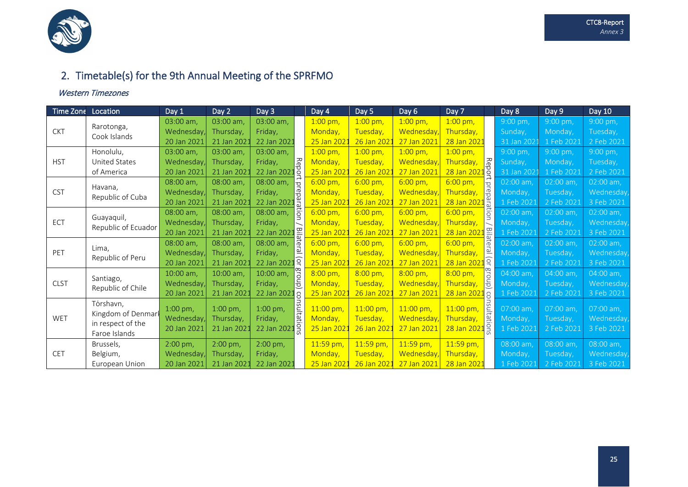

## 2. Timetable(s) for the 9th Annual Meeting of the SPRFMO

#### Western Timezones

| Time Zone   | Location                          | Day 1            | Day 2       | Day 3                                                   |                         | Day 4               | Day 5             | Day 6               | Day 7                                    | Day 8       | Day 9      | Day 10      |
|-------------|-----------------------------------|------------------|-------------|---------------------------------------------------------|-------------------------|---------------------|-------------------|---------------------|------------------------------------------|-------------|------------|-------------|
|             | Rarotonga,                        | 03:00 am,        | 03:00 am,   | 03:00 am,                                               |                         |                     | $1:00$ pm,        | $1:00$ pm,          | $1:00$ pm,                               | 9:00 pm,    | 9:00 pm,   | 9:00 pm,    |
| <b>CKT</b>  | Cook Islands                      | Wednesday,       | Thursday,   | Friday,                                                 |                         | Monday,             | Tuesday,          | Wednesday,          | Thursday,                                | Sunday,     | Monday,    | Tuesday,    |
|             |                                   | 20 Jan 2021      | 21 Jan 2021 | 22 Jan 2021                                             |                         | 25 Jan 2021         | 26 Jan 202        | 27 Jan 2021         | 28 Jan 2022                              | 31 Jan 2021 | 1 Feb 2021 | 2 Feb 2021  |
|             | Honolulu,                         | 03:00 am,        | 03:00 am,   | 03:00 am,                                               |                         | $1:00 \text{ pm}$ , | $1:00$ pm,        | $1:00$ pm,          | $1:00$ pm,                               | 9:00 pm,    | 9:00 pm,   | 9:00 pm,    |
| <b>HST</b>  | United States                     | Wednesday        | Thursday,   | Friday,                                                 | <b>Repor</b>            | Monday,             | Tuesday,          | Wednesday,          | ∕ਨਿ<br>Thursday,                         | Sunday,     | Monday,    | Tuesday,    |
|             | of America                        | 20 Jan 2021      | 21 Jan 2021 | 22 Jan 202                                              |                         | 25 Jan 2022         | 26 Jan 202        | 27 Jan 2021         | 28 Jan 2021 <sup>3</sup>                 | 31 Jan 2021 | 1 Feb 2021 | 2 Feb 2021  |
| <b>CST</b>  |                                   | 08:00 am,        | 08:00 am,   | 08:00 am,                                               | $\frac{1}{\sigma}$      | $6:00 \text{ pm}$ , | $6:00 \text{ pm}$ | $6:00 \text{ pm}$   | $6:00 \text{ pm}$<br>$\overline{\sigma}$ | 02:00 am,   | 02:00 am,  | $02:00$ am, |
|             | Havana,                           | Wednesday,       | Thursday,   | Friday,                                                 | repara                  | Monday,             | Tuesday,          | Wednesday,          | é<br>d<br>Thursday,                      | Monday,     | Tuesday,   | Wednesday,  |
|             | Republic of Cuba                  | 20 Jan 2021      | 21 Jan 2022 | 22 Jan 202                                              |                         | 25 Jan 2021         | 26 Jan 2021       | 27 Jan 2021         | <mark>ี 28 Jan 2021</mark> อิ            | 1 Feb 2021  | 2 Feb 2021 | 3 Feb 2021  |
| ECT         | Guayaquil,<br>Republic of Ecuador | 08:00 am,        | 08:00 am.   | 08:00 am,                                               | ion<br>I                | $6:00 \text{ pm}$   | $6:00 \text{ pm}$ | $6:00 \text{ pm}$ , | $\ddot{\vec{\sigma}}$<br>6:00 pm,        | 02:00 am,   | 02:00 am.  | $02:00$ am, |
|             |                                   | Wednesday        | Thursday,   | Friday,                                                 |                         | Monday,             | Tuesday,          | Wednesday,          | Thursday,                                | Monday,     | Tuesday,   | Wednesday,  |
|             |                                   | 20 Jan 2021      | 21 Jan 2021 | 22 Jan 2021                                             | Bila                    | 25 Jan 2021         | 26 Jan 202        | 27 Jan 2021         | Bila<br>28 Jan 2021                      | 1 Feb 2021  | 2 Feb 2021 | 3 Feb 2021  |
|             |                                   | 08:00 am,        | 08:00 am.   | 08:00 am,                                               | $\overline{\mathbf{e}}$ | $6:00$ pm,          | $6:00 \text{ pm}$ | $6:00 \text{ pm}$ , | $\vec{a}$<br>$6:00 \text{ pm}$           | $02:00$ am, | 02:00 am.  | 02:00 am,   |
| PET         | Lima,<br>Republic of Peru         | Wednesday,       | Thursday,   | Friday,                                                 | ral (or                 | Monday,             | Tuesday,          | Wednesday,          | Thursday,                                | Monday,     | Tuesday,   | Wednesday,  |
| <b>CLST</b> |                                   | 20 Jan 2021      | 21 Jan 2021 | 22 Jan 2021                                             |                         | 25 Jan 202          | 26 Jan 202        | 27 Jan 2021         | 28 Jan 2021 옥                            | 1 Feb 2021  | 2 Feb 2021 | 3 Feb 2021  |
|             |                                   | 10:00 am,        | 10:00 am,   | 10:00 am,                                               | gro                     | $8:00 \text{ pm}$   | $8:00 \text{ pm}$ | $8:00 \text{ pm}$   | $8:00 \text{ pm}$                        | 04:00 am,   | 04:00 am.  | $04:00$ am, |
|             | Santiago,                         | Wednesdav        | Thursday,   | Friday,                                                 | $\overline{d}$          | Monday,             | Tuesday,          | Wednesday.          | l<br>ab<br>Thursday,                     | Monday,     | Tuesday,   | Wednesday,  |
|             | Republic of Chile                 | 20 Jan 2021      | 21 Jan 2021 | 22 Jan 202                                              | Sc                      | 25 Jan 202          | 26 Jan 202        | 27 Jan 2021         | 28 Jan 2021<br>$\Omega$                  | 1 Feb 2021  | 2 Feb 2021 | 3 Feb 2021  |
|             | Tórshavn,                         | 1:00 pm,         | 1:00 pm,    | 1:00 pm,                                                |                         | $11:00$ pm,         | $11:00$ pm,       | $11:00$ pm,         | 11:00 pm,                                | 07:00 am,   | 07:00 am,  | 07:00 am,   |
| WET         | Kingdom of Denmarl                | Wednesday,       |             |                                                         |                         | Monday,             | Tuesday,          | Wednesday,          | Thursday,                                |             | Tuesday,   | Wednesday,  |
|             | in respect of the                 |                  | Thursday,   | Friday,                                                 | nsultations             |                     |                   |                     | نغا<br>باي<br>28 Jan 2021 9              | Monday,     |            |             |
|             | Faroe Islands                     | 20 Jan 2021      | 21 Jan 2021 | 22 Jan 2021<br>25 Jan 2021<br>26 Jan 202<br>27 Jan 2021 |                         | 1 Feb 2021          | 2 Feb 2021        | 3 Feb 2021          |                                          |             |            |             |
|             | Brussels,                         | $2:00$ pm,       | $2:00$ pm,  | $2:00$ pm,                                              |                         | 11:59 pm,           | 11:59 pm,         | 11:59 pm,           | 11:59 pm,                                | 08:00 am,   | 08:00 am,  | 08:00 am,   |
| CET         | Belgium,                          | <b>Wednesday</b> | Thursday,   | Friday,                                                 |                         | Monday,             | Tuesday,          | Wednesday,          | Thursday,                                | Monday,     | Tuesday,   | Wednesday,  |
|             | European Union                    | 20 Jan 2021      | 21 Jan 2021 | 22 Jan 2021                                             |                         | 25 Jan 2021         | 26 Jan 2021       | 27 Jan 2021         | 28 Jan 2022                              | 1 Feb 2021  | 2 Feb 2021 | 3 Feb 2021  |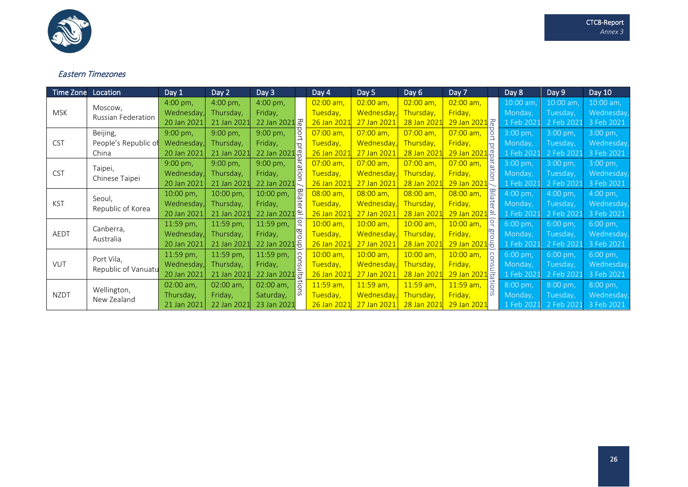

#### Eastern Timezones

| Time Zone   | Location                    | Day 1               | Day 2       | Day 3                            |                                                                                    | Day 4       | Day 5              | Day 6       | Day 7                        |                | Day 8        | Day 9               | Day 10              |
|-------------|-----------------------------|---------------------|-------------|----------------------------------|------------------------------------------------------------------------------------|-------------|--------------------|-------------|------------------------------|----------------|--------------|---------------------|---------------------|
|             | Moscow,                     | $4:00 \text{ pm}$ , | 4:00 pm,    | 4:00 pm,                         |                                                                                    | $02:00$ am, | $02:00$ am,        | $02:00$ am, | $02:00$ am,                  |                | 10:00 am,    | $10:00$ am          | 10:00 am,           |
| <b>MSK</b>  | Russian Federation          | Wednesday,          | Thursday,   | Friday,                          |                                                                                    | Tuesday,    | <b>Wednesday</b> , | Thursday,   | Friday,                      |                | Monday,      | Tuesday,            | Wednesday,          |
|             |                             | 20 Jan 2021         | 21 Jan 2021 | 22 Jan 2021 R                    |                                                                                    | 26 Jan 2021 | 27 Jan 2021        | 28 Jan 2021 | 29 Jan 2021 R                |                | 1 Feb 2021   | 2 Feb 202           | 3 Feb 2021          |
| <b>CST</b>  | Beijing,                    | $9:00$ pm,          | 9:00 pm,    | 9:00 pm,                         | port                                                                               | 07:00 am,   | $07:00$ am,        | 07:00 am,   | $07:00$ am,                  | $\overline{5}$ | 3:00 pm,     | 3:00 pm,            | $3:00 \text{ pm}$ , |
|             | People's Republic of        | Wednesday,          | Thursday,   | Friday,                          | $\overline{a}$                                                                     | Tuesday,    | <b>Wednesday</b> , | Thursday,   | Friday,                      |                | Monday,      | Tuesday,            | Wednesday,          |
|             | China                       | 20 Jan 2021         | 21 Jan 2021 | 22 Jan 2021                      | $1\overline{5}$<br>ler<br>Pa<br>9:00 pm,<br>Friday, $\frac{12}{10}$<br>22 Jan 2021 | 26 Jan 2021 | 27 Jan 2021        | 28 Jan 2022 | <mark>29 Jan 2021</mark> 용   |                | 1 Feb 2021   | 2 Feb 2021          | 3 Feb 2021          |
|             |                             | 9:00 pm,            | 9:00 pm,    |                                  |                                                                                    | 07:00 am,   | $07:00$ am,        | $07:00$ am, | $07:00$ am,                  | 흜              | 3:00 pm,     | 3:00 pm,            | 3:00 pm,            |
| <b>CST</b>  | Taipei,<br>Chinese Taipei   | Wednesday,          | Thursday,   |                                  |                                                                                    | Tuesday,    | <b>Wednesday</b> , | Thursday,   | Friday,                      | 응              | Monday,      | Tuesday,            | Wednesday,          |
|             |                             | 20 Jan 2021         | 21 Jan 2021 |                                  |                                                                                    | 26 Jan 2021 | 27 Jan 2021        | 28 Jan 2021 | 29 Jan 2021                  |                | 1 Feb 2021   | 2 Feb 2021          | 3 Feb 2021          |
| <b>KST</b>  | Seoul,<br>Republic of Korea | 10:00 pm,           | 10:00 pm,   | 10:00 pm,                        | 일<br>이<br>$\bar{\sigma}$                                                           | 08:00 am,   | $08:00$ am,        | $08:00$ am, | $08:00$ am,                  | Bila           | $4:00$ pm,   | $4:00 \text{ pm}$ . | $4:00 \text{ pm}$ , |
|             |                             | Wednesday           | Thursday,   | Friday,                          |                                                                                    | Tuesday,    | Wednesday,         | Thursday,   | Friday,                      | ನ              | Monday,      | Tuesday,            | Wednesday,          |
|             |                             | 20 Jan 2021         | 21 Jan 2021 | 22 Jan 2021 <sup>oj</sup>        |                                                                                    | 26 Jan 2021 | 27 Jan 2021        | 28 Jan 2021 | 29 Jan 2021 <sup>d</sup>     |                | $1$ Feb 2021 | 2 Feb 2021          | 3 Feb 2021          |
|             |                             | 11:59 pm,           | 11:59 pm,   | 11:59 pm,                        | <b>P</b>                                                                           | 10:00 am,   | $10:00$ am,        | $10:00$ am, | 10:00 am,                    |                | 6:00 pm,     | 6:00 pm,            | $6:00 \text{ pm}$ , |
| AEDT        | Canberra,<br>Australia      | <b>Wednesday</b>    | Thursday,   | Friday,                          | <b>BLC</b>                                                                         | Tuesday,    | Wednesday,         | Thursday,   | Friday,                      | рк<br>С        | Monday,      | Tuesday,            | Wednesday,          |
|             |                             | 20 Jan 2021         | 21 Jan 2021 | 22 Jan 2021 S                    |                                                                                    | 26 Jan 2021 | 27 Jan 2021        | 28 Jan 2021 | 29 Jan 2021 등                |                | 1 Feb 2021   | 2 Feb 2021          | 3 Feb 2021          |
|             |                             | 11:59 pm,           | 11:59 pm,   | 11:59 pm,                        | l S                                                                                | 10:00 am,   | 10:00 am,          | $10:00$ am, | $10:00$ am,                  | $\Omega$       | 6:00 pm,     | 6:00 pm,            | 6:00 pm,            |
| <b>VUT</b>  | Port Vila,                  | Wednesday,          | Thursday,   |                                  |                                                                                    | Tuesday,    | Wednesday.         | Thursday,   | Friday,                      | 5J             | Monday,      | Tuesday,            | Wednesday,          |
|             | Republic of Vanuatu         | 20 Jan 2021         | 21 Jan 2021 | Friday, $\frac{50}{22}$ Jan 2021 |                                                                                    | 26 Jan 2021 | 27 Jan 2021        | 28 Jan 202  | $29$ Jan 2021 $\frac{2}{31}$ |                | 1 Feb 2021   | 2 Feb 202           | 3 Feb 2021          |
|             |                             | 02:00 am,           | 02:00 am,   | 02:00 am,                        | lã                                                                                 | 11:59 am,   | $11:59$ am,        | $11:59$ am, | 11:59 am,                    | $\frac{1}{10}$ | 8:00 pm,     | 8:00 pm,            | 8:00 pm,            |
| <b>NZDT</b> | Wellington,                 | Thursday,           | Friday,     | Saturday,                        | <u>್</u>                                                                           | Tuesday,    | Wednesday,         | Thursday,   | Friday,                      | m              | Monday,      | Tuesday,            | Wednesday,          |
|             | New Zealand                 | 21 Jan 2021         | 22 Jan 2021 | 23 Jan 2021                      |                                                                                    | 26 Jan 2021 | 27 Jan 2021        | 28 Jan 2021 | 29 Jan 2021                  |                | 1 Feb 2021   | 2 Feb 202           | 3 Feb 2021          |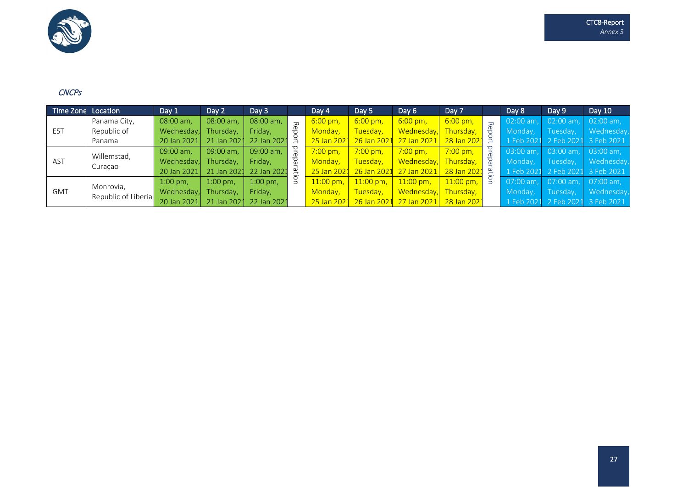

#### **CNCPs**

| Time Zone Location |                                  | Day 1       | Day 2       | Day 3       |                | Day 4                  | Day 5             | Day 6              | Day 7              | Day 8        | Day 9       | Day 10                           |
|--------------------|----------------------------------|-------------|-------------|-------------|----------------|------------------------|-------------------|--------------------|--------------------|--------------|-------------|----------------------------------|
| <b>EST</b>         | Panama City,                     | 08:00 am.   | 08:00 am,   | 08:00 am.   | $\overline{v}$ | $6:00 \,\mathrm{pm}$   | $6:00 \text{ pm}$ | $6:00 \text{ pm}$  | $6:00 \text{ pm}$  | $02:00$ am.  | $02:00$ am. | $02:00$ am,                      |
|                    | Republic of                      | Wednesday,  | Thursday,   | Friday,     |                | Monday,                | Tuesday,          | Wednesday,         | Thursday,          | Monday,      | Tuesday,    | Wednesday,                       |
|                    | Panama                           | 20 Jan 2021 | 21 Jan 2021 | 22 Jan 2021 |                | 25 Jan 202             | 26 Jan 2021       | 27 Jan 2021        | 28 Jan 2021        |              |             | 1 Feb 2021 2 Feb 2021 3 Feb 2021 |
| AST                | Willemstad,<br>Curaçao           | 09:00 am.   | 09:00 am.   | 09:00 am.   |                | $7:00 \,\mathrm{pm}$ . | $7:00$ pm,        | $7:00 \text{ pm}$  | $7:00 \text{ pm}$  | $03:00$ am.  | $03:00$ am. | $03:00$ am.                      |
|                    |                                  | Wednesday,  | Thursday,   | Friday,     |                | Monday.                | Tuesday,          | Wednesday,         | Thursday,          | Mondav.      | Tuesday,    | Wednesday,                       |
|                    |                                  | 20 Jan 2021 | 21 Jan 2021 | 22 Jan 2021 |                | 25 Jan 2021            | 26 Jan 2021       | 27 Jan 2021        | 28 Jan 2021        |              |             | 1 Feb 2021 2 Feb 2021 3 Feb 2021 |
| <b>GMT</b>         | Monrovia,<br>Republic of Liberia | $1:00$ pm,  | $1:00$ pm,  | $1:00$ pm,  | g              | $11:00$ pm,            | $11:00$ pm,       | $11:00 \text{ pm}$ | $11:00 \text{ pm}$ | $07:00$ am.  | $07:00$ am. | $07:00$ am,                      |
|                    |                                  | Wednesday,  | Thursdav.   | Friday,     |                | Monday.                | Tuesday,          | Wednesday.         | Thursdav.          | Mondav.      | Tuesday,    | Wednesday,                       |
|                    |                                  | 20 Jan 2021 | 21 Jan 2021 | 22 Jan 2021 |                | 25 Jan 2021            | 26 Jan 2021       | 27 Jan 2021        | 28 Jan 2021        | $1$ Feb 2021 |             | 2 Feb 2021 3 Feb 2021            |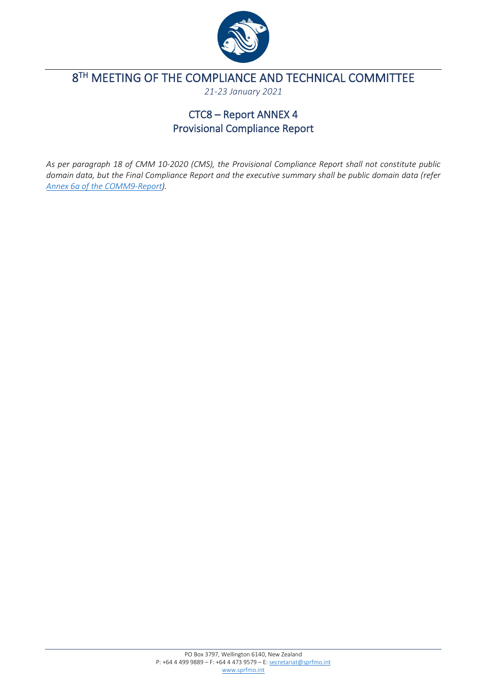

# <span id="page-29-0"></span>8<sup>TH</sup> MEETING OF THE COMPLIANCE AND TECHNICAL COMMITTEE

*21-23 January 2021*

## CTC8 – Report ANNEX 4 Provisional Compliance Report

*As per paragraph 18 of CMM 10-2020 (CMS), the Provisional Compliance Report shall not constitute public domain data, but the Final Compliance Report and the executive summary shall be public domain data (refer Annex 6a [of the COMM9-Report\)](https://www.sprfmo.int/assets/0-2021-Annual-Meeting/Reports/Annex-6a-Final-Compliance-Report-on-Members-and-CNCPs-2019-20.pdf).*